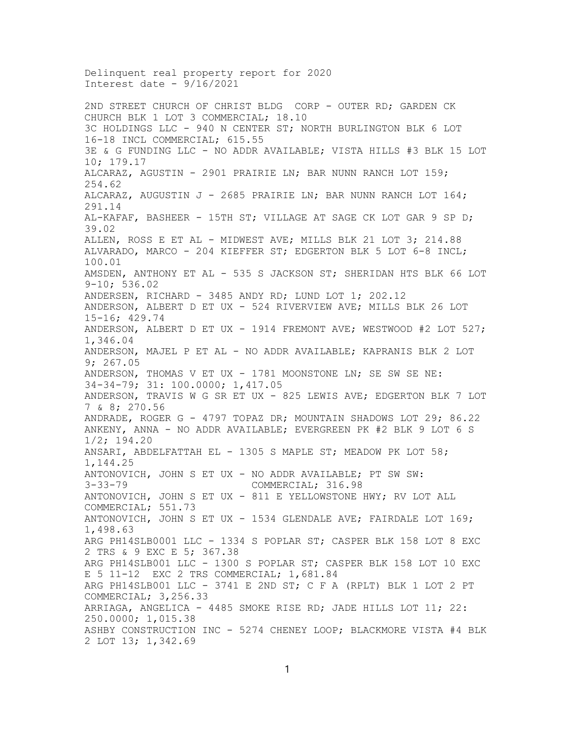Delinquent real property report for 2020 Interest date - 9/16/2021 2ND STREET CHURCH OF CHRIST BLDG CORP - OUTER RD; GARDEN CK CHURCH BLK 1 LOT 3 COMMERCIAL; 18.10 3C HOLDINGS LLC - 940 N CENTER ST; NORTH BURLINGTON BLK 6 LOT 16-18 INCL COMMERCIAL; 615.55 3E & G FUNDING LLC - NO ADDR AVAILABLE; VISTA HILLS #3 BLK 15 LOT 10; 179.17 ALCARAZ, AGUSTIN - 2901 PRAIRIE LN; BAR NUNN RANCH LOT 159; 254.62 ALCARAZ, AUGUSTIN  $J - 2685$  PRAIRIE LN; BAR NUNN RANCH LOT 164; 291.14 AL-KAFAF, BASHEER - 15TH ST; VILLAGE AT SAGE CK LOT GAR 9 SP D; 39.02 ALLEN, ROSS E ET AL - MIDWEST AVE; MILLS BLK 21 LOT 3; 214.88 ALVARADO, MARCO - 204 KIEFFER ST; EDGERTON BLK 5 LOT 6-8 INCL; 100.01 AMSDEN, ANTHONY ET AL - 535 S JACKSON ST; SHERIDAN HTS BLK 66 LOT 9-10; 536.02 ANDERSEN, RICHARD - 3485 ANDY RD; LUND LOT 1; 202.12 ANDERSON, ALBERT D ET UX - 524 RIVERVIEW AVE; MILLS BLK 26 LOT 15-16; 429.74 ANDERSON, ALBERT D ET UX - 1914 FREMONT AVE; WESTWOOD #2 LOT  $527$ ; 1,346.04 ANDERSON, MAJEL P ET AL - NO ADDR AVAILABLE; KAPRANIS BLK 2 LOT 9; 267.05 ANDERSON, THOMAS V ET UX - 1781 MOONSTONE LN; SE SW SE NE: 34-34-79; 31: 100.0000; 1,417.05 ANDERSON, TRAVIS W G SR ET UX - 825 LEWIS AVE; EDGERTON BLK 7 LOT 7 & 8; 270.56 ANDRADE, ROGER G - 4797 TOPAZ DR; MOUNTAIN SHADOWS LOT 29; 86.22 ANKENY, ANNA - NO ADDR AVAILABLE; EVERGREEN PK #2 BLK 9 LOT 6 S 1/2; 194.20 ANSARI, ABDELFATTAH EL - 1305 S MAPLE ST; MEADOW PK LOT 58; 1,144.25 ANTONOVICH, JOHN S ET UX - NO ADDR AVAILABLE; PT SW SW: COMMERCIAL; 316.98 ANTONOVICH, JOHN S ET UX - 811 E YELLOWSTONE HWY; RV LOT ALL COMMERCIAL; 551.73 ANTONOVICH, JOHN S ET UX - 1534 GLENDALE AVE; FAIRDALE LOT 169; 1,498.63 ARG PH14SLB0001 LLC - 1334 S POPLAR ST; CASPER BLK 158 LOT 8 EXC 2 TRS & 9 EXC E 5; 367.38 ARG PH14SLB001 LLC - 1300 S POPLAR ST; CASPER BLK 158 LOT 10 EXC E 5 11-12 EXC 2 TRS COMMERCIAL; 1,681.84 ARG PH14SLB001 LLC - 3741 E 2ND ST; C F A (RPLT) BLK 1 LOT 2 PT COMMERCIAL; 3,256.33 ARRIAGA, ANGELICA - 4485 SMOKE RISE RD; JADE HILLS LOT 11; 22: 250.0000; 1,015.38 ASHBY CONSTRUCTION INC - 5274 CHENEY LOOP; BLACKMORE VISTA #4 BLK 2 LOT 13; 1,342.69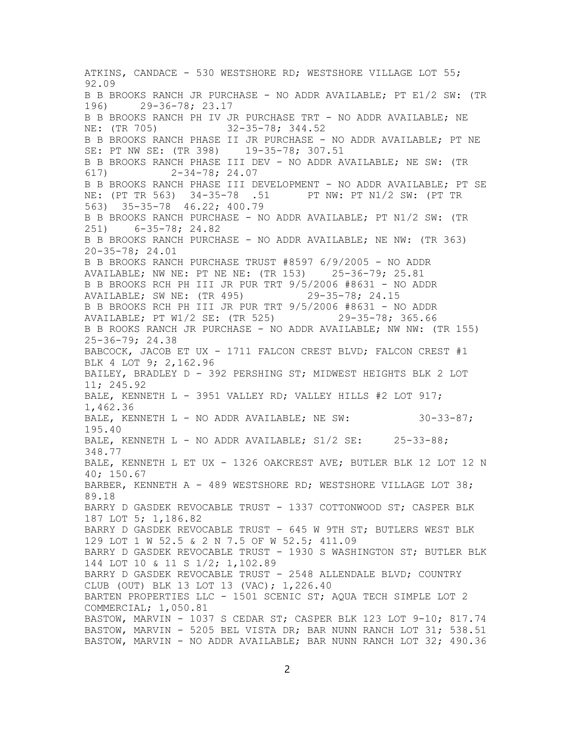ATKINS, CANDACE - 530 WESTSHORE RD; WESTSHORE VILLAGE LOT 55; 92.09 B B BROOKS RANCH JR PURCHASE - NO ADDR AVAILABLE; PT E1/2 SW: (TR 196) 29-36-78; 23.17 B B BROOKS RANCH PH IV JR PURCHASE TRT - NO ADDR AVAILABLE; NE NE: (TR 705) 32-35-78; 344.52  $32 - 35 - 78; 344.52$ B B BROOKS RANCH PHASE II JR PURCHASE - NO ADDR AVAILABLE; PT NE SE: PT NW SE: (TR 398) 19-35-78; 307.51 B B BROOKS RANCH PHASE III DEV - NO ADDR AVAILABLE; NE SW: (TR 617) 2-34-78; 24.07 B B BROOKS RANCH PHASE III DEVELOPMENT - NO ADDR AVAILABLE; PT SE NE: (PT TR 563) 34-35-78 .51 PT NW: PT N1/2 SW: (PT TR 563) 35-35-78 46.22; 400.79 B B BROOKS RANCH PURCHASE - NO ADDR AVAILABLE; PT N1/2 SW: (TR 251) 6-35-78; 24.82 B B BROOKS RANCH PURCHASE - NO ADDR AVAILABLE; NE NW: (TR 363) 20-35-78; 24.01 B B BROOKS RANCH PURCHASE TRUST #8597 6/9/2005 - NO ADDR<br>AVAILABLE; NW NE: PT NE NE: (TR 153) 25-36-79; 25.81 AVAILABLE; NW NE: PT NE NE: (TR 153) B B BROOKS RCH PH III JR PUR TRT 9/5/2006 #8631 - NO ADDR AVAILABLE; SW NE: (TR 495) 29-35-78; 24.15 B B BROOKS RCH PH III JR PUR TRT 9/5/2006 #8631 - NO ADDR<br>AVAILABLE; PT W1/2 SE: (TR 525) 29-35-78; 365.66 AVAILABLE; PT  $W1/2$  SE: (TR 525) B B ROOKS RANCH JR PURCHASE - NO ADDR AVAILABLE; NW NW: (TR 155) 25-36-79; 24.38 BABCOCK, JACOB ET UX - 1711 FALCON CREST BLVD; FALCON CREST #1 BLK 4 LOT 9; 2,162.96 BAILEY, BRADLEY D - 392 PERSHING ST; MIDWEST HEIGHTS BLK 2 LOT 11; 245.92 BALE, KENNETH L - 3951 VALLEY RD; VALLEY HILLS #2 LOT 917; 1,462.36 BALE, KENNETH L - NO ADDR AVAILABLE; NE SW: 30-33-87; 195.40 BALE, KENNETH  $L - NO ADDR AVAILABLE$ ;  $S1/2 SE$ : 25-33-88; 348.77 BALE, KENNETH L ET UX - 1326 OAKCREST AVE; BUTLER BLK 12 LOT 12 N 40; 150.67 BARBER, KENNETH A - 489 WESTSHORE RD; WESTSHORE VILLAGE LOT 38; 89.18 BARRY D GASDEK REVOCABLE TRUST - 1337 COTTONWOOD ST; CASPER BLK 187 LOT 5; 1,186.82 BARRY D GASDEK REVOCABLE TRUST - 645 W 9TH ST; BUTLERS WEST BLK 129 LOT 1 W 52.5 & 2 N 7.5 OF W 52.5; 411.09 BARRY D GASDEK REVOCABLE TRUST - 1930 S WASHINGTON ST; BUTLER BLK 144 LOT 10 & 11 S 1/2; 1,102.89 BARRY D GASDEK REVOCABLE TRUST - 2548 ALLENDALE BLVD; COUNTRY CLUB (OUT) BLK 13 LOT 13 (VAC); 1,226.40 BARTEN PROPERTIES LLC - 1501 SCENIC ST; AQUA TECH SIMPLE LOT 2 COMMERCIAL; 1,050.81 BASTOW, MARVIN - 1037 S CEDAR ST; CASPER BLK 123 LOT 9-10; 817.74 BASTOW, MARVIN - 5205 BEL VISTA DR; BAR NUNN RANCH LOT 31; 538.51 BASTOW, MARVIN - NO ADDR AVAILABLE; BAR NUNN RANCH LOT 32; 490.36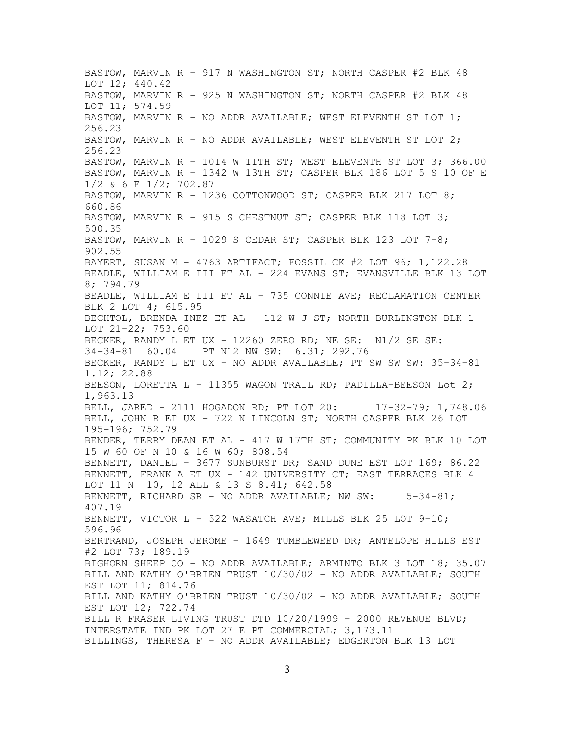BASTOW, MARVIN R - 917 N WASHINGTON ST; NORTH CASPER #2 BLK 48 LOT 12; 440.42 BASTOW, MARVIN R - 925 N WASHINGTON ST; NORTH CASPER #2 BLK 48 LOT 11; 574.59 BASTOW, MARVIN R - NO ADDR AVAILABLE; WEST ELEVENTH ST LOT 1; 256.23 BASTOW, MARVIN R - NO ADDR AVAILABLE; WEST ELEVENTH ST LOT  $2$ ; 256.23 BASTOW, MARVIN R - 1014 W 11TH ST; WEST ELEVENTH ST LOT 3; 366.00 BASTOW, MARVIN R - 1342 W 13TH ST; CASPER BLK 186 LOT 5 S 10 OF E 1/2 & 6 E 1/2; 702.87 BASTOW, MARVIN R - 1236 COTTONWOOD ST; CASPER BLK 217 LOT 8; 660.86 BASTOW, MARVIN R - 915 S CHESTNUT ST; CASPER BLK 118 LOT 3; 500.35 BASTOW, MARVIN R - 1029 S CEDAR ST; CASPER BLK 123 LOT  $7-8$ ; 902.55 BAYERT, SUSAN M - 4763 ARTIFACT; FOSSIL CK #2 LOT 96; 1,122.28 BEADLE, WILLIAM E III ET AL - 224 EVANS ST; EVANSVILLE BLK 13 LOT 8; 794.79 BEADLE, WILLIAM E III ET AL - 735 CONNIE AVE; RECLAMATION CENTER BLK 2 LOT 4; 615.95 BECHTOL, BRENDA INEZ ET AL - 112 W J ST; NORTH BURLINGTON BLK 1 LOT 21-22; 753.60 BECKER, RANDY L ET UX - 12260 ZERO RD; NE SE: N1/2 SE SE: 34-34-81 60.04 PT N12 NW SW: 6.31; 292.76 BECKER, RANDY L ET UX - NO ADDR AVAILABLE; PT SW SW SW: 35-34-81 1.12; 22.88 BEESON, LORETTA L - 11355 WAGON TRAIL RD; PADILLA-BEESON Lot 2; 1,963.13 BELL, JARED - 2111 HOGADON RD; PT LOT 20: 17-32-79; 1,748.06 BELL, JOHN R ET UX - 722 N LINCOLN ST; NORTH CASPER BLK 26 LOT 195-196; 752.79 BENDER, TERRY DEAN ET AL - 417 W 17TH ST; COMMUNITY PK BLK 10 LOT 15 W 60 OF N 10 & 16 W 60; 808.54 BENNETT, DANIEL - 3677 SUNBURST DR; SAND DUNE EST LOT 169; 86.22 BENNETT, FRANK A ET UX - 142 UNIVERSITY CT; EAST TERRACES BLK 4 LOT 11 N 10, 12 ALL & 13 S 8.41; 642.58 BENNETT, RICHARD SR - NO ADDR AVAILABLE; NW SW: 5-34-81; 407.19 BENNETT, VICTOR L - 522 WASATCH AVE; MILLS BLK 25 LOT 9-10; 596.96 BERTRAND, JOSEPH JEROME - 1649 TUMBLEWEED DR; ANTELOPE HILLS EST #2 LOT 73; 189.19 BIGHORN SHEEP CO - NO ADDR AVAILABLE; ARMINTO BLK 3 LOT 18; 35.07 BILL AND KATHY O'BRIEN TRUST 10/30/02 - NO ADDR AVAILABLE; SOUTH EST LOT 11; 814.76 BILL AND KATHY O'BRIEN TRUST 10/30/02 - NO ADDR AVAILABLE; SOUTH EST LOT 12; 722.74 BILL R FRASER LIVING TRUST DTD 10/20/1999 - 2000 REVENUE BLVD; INTERSTATE IND PK LOT 27 E PT COMMERCIAL; 3,173.11 BILLINGS, THERESA F - NO ADDR AVAILABLE; EDGERTON BLK 13 LOT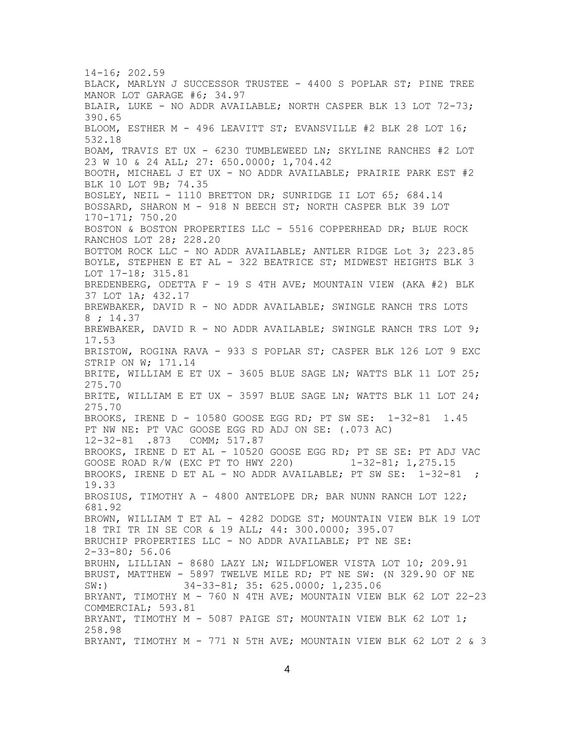14-16; 202.59 BLACK, MARLYN J SUCCESSOR TRUSTEE - 4400 S POPLAR ST; PINE TREE MANOR LOT GARAGE #6; 34.97 BLAIR, LUKE - NO ADDR AVAILABLE; NORTH CASPER BLK 13 LOT 72-73; 390.65 BLOOM, ESTHER M - 496 LEAVITT ST; EVANSVILLE #2 BLK 28 LOT 16; 532.18 BOAM, TRAVIS ET UX - 6230 TUMBLEWEED LN; SKYLINE RANCHES #2 LOT 23 W 10 & 24 ALL; 27: 650.0000; 1,704.42 BOOTH, MICHAEL J ET UX - NO ADDR AVAILABLE; PRAIRIE PARK EST #2 BLK 10 LOT 9B; 74.35 BOSLEY, NEIL - 1110 BRETTON DR; SUNRIDGE II LOT 65; 684.14 BOSSARD, SHARON M - 918 N BEECH ST; NORTH CASPER BLK 39 LOT 170-171; 750.20 BOSTON & BOSTON PROPERTIES LLC - 5516 COPPERHEAD DR; BLUE ROCK RANCHOS LOT 28; 228.20 BOTTOM ROCK LLC - NO ADDR AVAILABLE; ANTLER RIDGE Lot 3; 223.85 BOYLE, STEPHEN E ET AL - 322 BEATRICE ST; MIDWEST HEIGHTS BLK 3 LOT 17-18; 315.81 BREDENBERG, ODETTA F - 19 S 4TH AVE; MOUNTAIN VIEW (AKA #2) BLK 37 LOT 1A; 432.17 BREWBAKER, DAVID R - NO ADDR AVAILABLE; SWINGLE RANCH TRS LOTS 8 ; 14.37 BREWBAKER, DAVID R - NO ADDR AVAILABLE; SWINGLE RANCH TRS LOT 9; 17.53 BRISTOW, ROGINA RAVA - 933 S POPLAR ST; CASPER BLK 126 LOT 9 EXC STRIP ON W; 171.14 BRITE, WILLIAM E ET UX - 3605 BLUE SAGE LN; WATTS BLK 11 LOT 25; 275.70 BRITE, WILLIAM E ET UX - 3597 BLUE SAGE LN; WATTS BLK 11 LOT 24; 275.70 BROOKS, IRENE D - 10580 GOOSE EGG RD; PT SW SE: 1-32-81 1.45 PT NW NE: PT VAC GOOSE EGG RD ADJ ON SE: (.073 AC) 12-32-81 .873 COMM; 517.87 BROOKS, IRENE D ET AL - 10520 GOOSE EGG RD; PT SE SE: PT ADJ VAC<br>GOOSE ROAD R/W (EXC PT TO HWY 220)  $1-32-81; 1,275.15$ GOOSE ROAD R/W (EXC PT TO HWY 220) 1-32-81; 1,275.15 BROOKS, IRENE D ET AL - NO ADDR AVAILABLE; PT SW SE: 1-32-81 ; 19.33 BROSIUS, TIMOTHY A - 4800 ANTELOPE DR; BAR NUNN RANCH LOT 122; 681.92 BROWN, WILLIAM T ET AL - 4282 DODGE ST; MOUNTAIN VIEW BLK 19 LOT 18 TRI TR IN SE COR & 19 ALL; 44: 300.0000; 395.07 BRUCHIP PROPERTIES LLC - NO ADDR AVAILABLE; PT NE SE: 2-33-80; 56.06 BRUHN, LILLIAN - 8680 LAZY LN; WILDFLOWER VISTA LOT 10; 209.91 BRUST, MATTHEW - 5897 TWELVE MILE RD; PT NE SW: (N 329.90 OF NE SW:) 34-33-81; 35: 625.0000; 1,235.06 BRYANT, TIMOTHY M - 760 N 4TH AVE; MOUNTAIN VIEW BLK 62 LOT 22-23 COMMERCIAL; 593.81 BRYANT, TIMOTHY M - 5087 PAIGE ST; MOUNTAIN VIEW BLK 62 LOT 1; 258.98 BRYANT, TIMOTHY M - 771 N 5TH AVE; MOUNTAIN VIEW BLK 62 LOT 2 & 3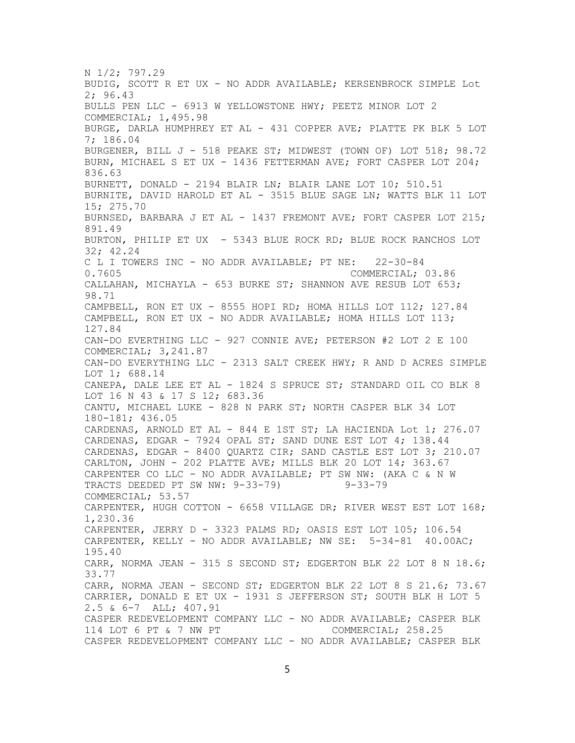N 1/2; 797.29 BUDIG, SCOTT R ET UX - NO ADDR AVAILABLE; KERSENBROCK SIMPLE Lot 2; 96.43 BULLS PEN LLC - 6913 W YELLOWSTONE HWY; PEETZ MINOR LOT 2 COMMERCIAL; 1,495.98 BURGE, DARLA HUMPHREY ET AL - 431 COPPER AVE; PLATTE PK BLK 5 LOT 7; 186.04 BURGENER, BILL J - 518 PEAKE ST; MIDWEST (TOWN OF) LOT 518; 98.72 BURN, MICHAEL S ET UX - 1436 FETTERMAN AVE; FORT CASPER LOT 204; 836.63 BURNETT, DONALD - 2194 BLAIR LN; BLAIR LANE LOT 10; 510.51 BURNITE, DAVID HAROLD ET AL - 3515 BLUE SAGE LN; WATTS BLK 11 LOT 15; 275.70 BURNSED, BARBARA J ET AL - 1437 FREMONT AVE; FORT CASPER LOT 215; 891.49 BURTON, PHILIP ET UX - 5343 BLUE ROCK RD; BLUE ROCK RANCHOS LOT 32; 42.24 C L I TOWERS INC - NO ADDR AVAILABLE; PT NE: 22-30-84<br>0.7605 COMMERCIAL; COMMERCIAL; 03.86 CALLAHAN, MICHAYLA - 653 BURKE ST; SHANNON AVE RESUB LOT 653; 98.71 CAMPBELL, RON ET UX - 8555 HOPI RD; HOMA HILLS LOT 112; 127.84 CAMPBELL, RON ET UX - NO ADDR AVAILABLE; HOMA HILLS LOT 113; 127.84 CAN-DO EVERTHING LLC - 927 CONNIE AVE; PETERSON #2 LOT 2 E 100 COMMERCIAL; 3,241.87 CAN-DO EVERYTHING LLC - 2313 SALT CREEK HWY; R AND D ACRES SIMPLE LOT 1; 688.14 CANEPA, DALE LEE ET AL - 1824 S SPRUCE ST; STANDARD OIL CO BLK 8 LOT 16 N 43 & 17 S 12; 683.36 CANTU, MICHAEL LUKE - 828 N PARK ST; NORTH CASPER BLK 34 LOT 180-181; 436.05 CARDENAS, ARNOLD ET AL - 844 E 1ST ST; LA HACIENDA Lot 1; 276.07 CARDENAS, EDGAR - 7924 OPAL ST; SAND DUNE EST LOT 4; 138.44 CARDENAS, EDGAR - 8400 QUARTZ CIR; SAND CASTLE EST LOT 3; 210.07 CARLTON, JOHN - 202 PLATTE AVE; MILLS BLK 20 LOT 14; 363.67 CARPENTER CO LLC - NO ADDR AVAILABLE; PT SW NW: (AKA C & N W<br>TRACTS DEEDED PT SW NW: 9-33-79) 9-33-79 TRACTS DEEDED PT SW NW: 9-33-79) COMMERCIAL; 53.57 CARPENTER, HUGH COTTON - 6658 VILLAGE DR; RIVER WEST EST LOT 168; 1,230.36 CARPENTER, JERRY D - 3323 PALMS RD; OASIS EST LOT 105; 106.54 CARPENTER, KELLY - NO ADDR AVAILABLE; NW SE: 5-34-81 40.00AC; 195.40 CARR, NORMA JEAN - 315 S SECOND ST; EDGERTON BLK 22 LOT 8 N 18.6; 33.77 CARR, NORMA JEAN - SECOND ST; EDGERTON BLK 22 LOT 8 S 21.6; 73.67 CARRIER, DONALD E ET UX - 1931 S JEFFERSON ST; SOUTH BLK H LOT 5 2.5 & 6-7 ALL; 407.91 CASPER REDEVELOPMENT COMPANY LLC - NO ADDR AVAILABLE; CASPER BLK 114 LOT 6 PT & 7 NW PT CASPER REDEVELOPMENT COMPANY LLC - NO ADDR AVAILABLE; CASPER BLK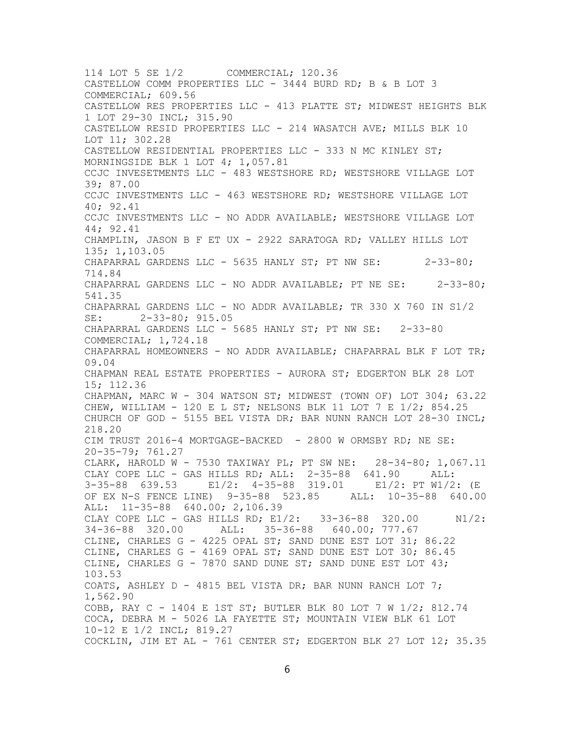114 LOT 5 SE 1/2 COMMERCIAL; 120.36 CASTELLOW COMM PROPERTIES LLC - 3444 BURD RD; B & B LOT 3 COMMERCIAL; 609.56 CASTELLOW RES PROPERTIES LLC - 413 PLATTE ST; MIDWEST HEIGHTS BLK 1 LOT 29-30 INCL; 315.90 CASTELLOW RESID PROPERTIES LLC - 214 WASATCH AVE; MILLS BLK 10 LOT 11; 302.28 CASTELLOW RESIDENTIAL PROPERTIES LLC - 333 N MC KINLEY ST; MORNINGSIDE BLK 1 LOT 4; 1,057.81 CCJC INVESETMENTS LLC - 483 WESTSHORE RD; WESTSHORE VILLAGE LOT 39; 87.00 CCJC INVESTMENTS LLC - 463 WESTSHORE RD; WESTSHORE VILLAGE LOT 40; 92.41 CCJC INVESTMENTS LLC - NO ADDR AVAILABLE; WESTSHORE VILLAGE LOT 44; 92.41 CHAMPLIN, JASON B F ET UX - 2922 SARATOGA RD; VALLEY HILLS LOT 135; 1,103.05 CHAPARRAL GARDENS LLC - 5635 HANLY ST; PT NW SE: 2-33-80; 714.84 CHAPARRAL GARDENS LLC - NO ADDR AVAILABLE; PT NE SE: 2-33-80; 541.35 CHAPARRAL GARDENS LLC - NO ADDR AVAILABLE; TR 330 X 760 IN S1/2 SE: 2-33-80; 915.05 CHAPARRAL GARDENS LLC - 5685 HANLY ST; PT NW SE: 2-33-80 COMMERCIAL; 1,724.18 CHAPARRAL HOMEOWNERS - NO ADDR AVAILABLE; CHAPARRAL BLK F LOT TR; 09.04 CHAPMAN REAL ESTATE PROPERTIES - AURORA ST; EDGERTON BLK 28 LOT 15; 112.36 CHAPMAN, MARC W - 304 WATSON ST; MIDWEST (TOWN OF) LOT 304; 63.22 CHEW, WILLIAM - 120 E L ST; NELSONS BLK 11 LOT 7 E 1/2; 854.25 CHURCH OF GOD - 5155 BEL VISTA DR; BAR NUNN RANCH LOT 28-30 INCL; 218.20 CIM TRUST 2016-4 MORTGAGE-BACKED - 2800 W ORMSBY RD; NE SE: 20-35-79; 761.27 CLARK, HAROLD W - 7530 TAXIWAY PL; PT SW NE: 28-34-80; 1,067.11 CLAY COPE LLC - GAS HILLS RD; ALL: 2-35-88 641.90 ALL: 3-35-88 639.53 E1/2: 4-35-88 319.01 E1/2: PT W1/2: (E OF EX N-S FENCE LINE) 9-35-88 523.85 ALL: 10-35-88 640.00 ALL: 11-35-88 640.00; 2,106.39 CLAY COPE LLC - GAS HILLS RD; E1/2: 33-36-88 320.00 N1/2:<br>34-36-88 320.00 ALL: 35-36-88 640.00; 777.67 ALL: 35-36-88 640.00; 777.67 CLINE, CHARLES G - 4225 OPAL ST; SAND DUNE EST LOT 31; 86.22 CLINE, CHARLES G - 4169 OPAL ST; SAND DUNE EST LOT 30; 86.45 CLINE, CHARLES G - 7870 SAND DUNE ST; SAND DUNE EST LOT  $43$ ; 103.53 COATS, ASHLEY  $D - 4815$  BEL VISTA DR; BAR NUNN RANCH LOT 7; 1,562.90 COBB, RAY C - 1404 E 1ST ST; BUTLER BLK 80 LOT 7 W 1/2; 812.74 COCA, DEBRA M - 5026 LA FAYETTE ST; MOUNTAIN VIEW BLK 61 LOT 10-12 E 1/2 INCL; 819.27 COCKLIN, JIM ET AL - 761 CENTER ST; EDGERTON BLK 27 LOT 12; 35.35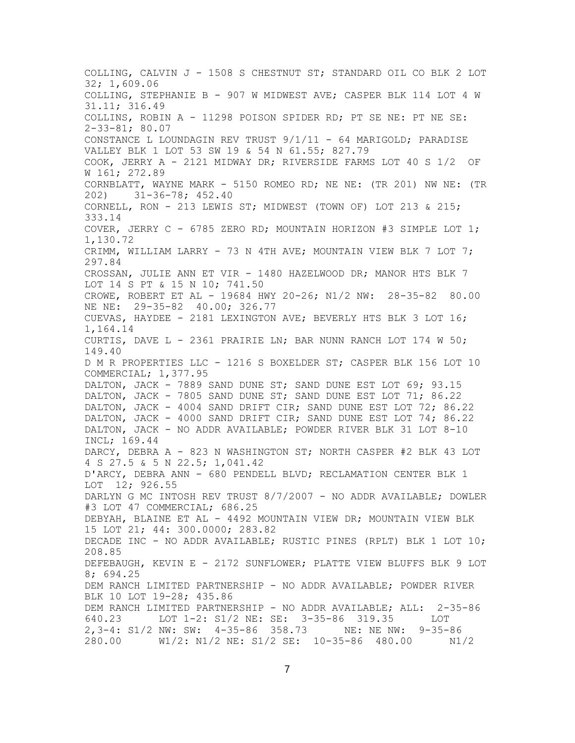COLLING, CALVIN J - 1508 S CHESTNUT ST; STANDARD OIL CO BLK 2 LOT 32; 1,609.06 COLLING, STEPHANIE B - 907 W MIDWEST AVE; CASPER BLK 114 LOT 4 W 31.11; 316.49 COLLINS, ROBIN A - 11298 POISON SPIDER RD; PT SE NE: PT NE SE: 2-33-81; 80.07 CONSTANCE L LOUNDAGIN REV TRUST 9/1/11 - 64 MARIGOLD; PARADISE VALLEY BLK 1 LOT 53 SW 19 & 54 N 61.55; 827.79 COOK, JERRY A - 2121 MIDWAY DR; RIVERSIDE FARMS LOT 40 S 1/2 OF W 161; 272.89 CORNBLATT, WAYNE MARK - 5150 ROMEO RD; NE NE: (TR 201) NW NE: (TR 202) 202) 31-36-78; 452.40 CORNELL, RON - 213 LEWIS ST; MIDWEST (TOWN OF) LOT 213 & 215; 333.14 COVER, JERRY C - 6785 ZERO RD; MOUNTAIN HORIZON #3 SIMPLE LOT 1; 1,130.72 CRIMM, WILLIAM LARRY - 73 N 4TH AVE; MOUNTAIN VIEW BLK 7 LOT 7; 297.84 CROSSAN, JULIE ANN ET VIR - 1480 HAZELWOOD DR; MANOR HTS BLK 7 LOT 14 S PT & 15 N 10; 741.50 CROWE, ROBERT ET AL - 19684 HWY 20-26; N1/2 NW: 28-35-82 80.00 NE NE: 29-35-82 40.00; 326.77 CUEVAS, HAYDEE - 2181 LEXINGTON AVE; BEVERLY HTS BLK 3 LOT 16; 1,164.14 CURTIS, DAVE L - 2361 PRAIRIE LN; BAR NUNN RANCH LOT 174 W 50; 149.40 D M R PROPERTIES LLC - 1216 S BOXELDER ST; CASPER BLK 156 LOT 10 COMMERCIAL; 1,377.95 DALTON, JACK - 7889 SAND DUNE ST; SAND DUNE EST LOT 69; 93.15 DALTON, JACK - 7805 SAND DUNE ST; SAND DUNE EST LOT 71; 86.22 DALTON, JACK - 4004 SAND DRIFT CIR; SAND DUNE EST LOT 72; 86.22 DALTON, JACK - 4000 SAND DRIFT CIR; SAND DUNE EST LOT 74; 86.22 DALTON, JACK - NO ADDR AVAILABLE; POWDER RIVER BLK 31 LOT 8-10 INCL; 169.44 DARCY, DEBRA A - 823 N WASHINGTON ST; NORTH CASPER #2 BLK 43 LOT 4 S 27.5 & 5 N 22.5; 1,041.42 D'ARCY, DEBRA ANN - 680 PENDELL BLVD; RECLAMATION CENTER BLK 1 LOT 12; 926.55 DARLYN G MC INTOSH REV TRUST 8/7/2007 - NO ADDR AVAILABLE; DOWLER #3 LOT 47 COMMERCIAL; 686.25 DEBYAH, BLAINE ET AL - 4492 MOUNTAIN VIEW DR; MOUNTAIN VIEW BLK 15 LOT 21; 44: 300.0000; 283.82 DECADE INC - NO ADDR AVAILABLE; RUSTIC PINES (RPLT) BLK 1 LOT 10; 208.85 DEFEBAUGH, KEVIN E - 2172 SUNFLOWER; PLATTE VIEW BLUFFS BLK 9 LOT 8; 694.25 DEM RANCH LIMITED PARTNERSHIP - NO ADDR AVAILABLE; POWDER RIVER BLK 10 LOT 19-28; 435.86 DEM RANCH LIMITED PARTNERSHIP - NO ADDR AVAILABLE; ALL: 2-35-86<br>640.23 LOT 1-2: S1/2 NE: SE: 3-35-86 319.35 LOT LOT 1-2: S1/2 NE: SE: 3-35-86 319.35 LOT 2,3-4: S1/2 NW: SW: 4-35-86 358.73 NE: NE NW: 9-35-86 280.00 W1/2: N1/2 NE: S1/2 SE: 10-35-86 480.00 N1/2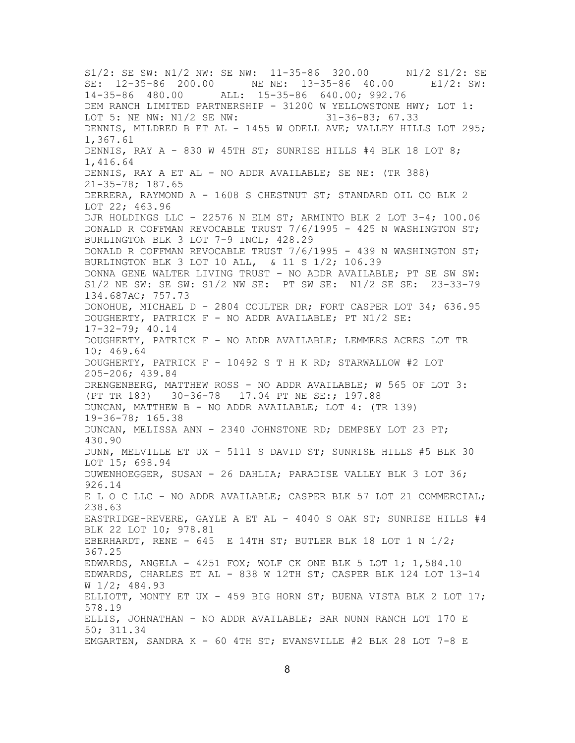S1/2: SE SW: N1/2 NW: SE NW: 11-35-86 320.00 N1/2 S1/2: SE SE: 12-35-86 200.00 NE NE: 13-35-86 40.00 E1/2: SW: 14-35-86 480.00 ALL: 15-35-86 640.00; 992.76 DEM RANCH LIMITED PARTNERSHIP - 31200 W YELLOWSTONE HWY; LOT 1:<br>LOT 5: NE NW: N1/2 SE NW: 31-36-83; 67.33 LOT 5: NE NW:  $N1/2$  SE NW: DENNIS, MILDRED B ET AL - 1455 W ODELL AVE; VALLEY HILLS LOT 295; 1,367.61 DENNIS, RAY A - 830 W 45TH ST; SUNRISE HILLS #4 BLK 18 LOT 8; 1,416.64 DENNIS, RAY A ET AL - NO ADDR AVAILABLE; SE NE: (TR 388) 21-35-78; 187.65 DERRERA, RAYMOND A - 1608 S CHESTNUT ST; STANDARD OIL CO BLK 2 LOT 22; 463.96 DJR HOLDINGS LLC - 22576 N ELM ST; ARMINTO BLK 2 LOT 3-4; 100.06 DONALD R COFFMAN REVOCABLE TRUST 7/6/1995 - 425 N WASHINGTON ST; BURLINGTON BLK 3 LOT 7-9 INCL; 428.29 DONALD R COFFMAN REVOCABLE TRUST 7/6/1995 - 439 N WASHINGTON ST; BURLINGTON BLK 3 LOT 10 ALL, & 11 S 1/2; 106.39 DONNA GENE WALTER LIVING TRUST - NO ADDR AVAILABLE; PT SE SW SW: S1/2 NE SW: SE SW: S1/2 NW SE: PT SW SE: N1/2 SE SE: 23-33-79 134.687AC; 757.73 DONOHUE, MICHAEL D - 2804 COULTER DR; FORT CASPER LOT 34; 636.95 DOUGHERTY, PATRICK F - NO ADDR AVAILABLE; PT N1/2 SE: 17-32-79; 40.14 DOUGHERTY, PATRICK F - NO ADDR AVAILABLE; LEMMERS ACRES LOT TR 10; 469.64 DOUGHERTY, PATRICK F - 10492 S T H K RD; STARWALLOW #2 LOT 205-206; 439.84 DRENGENBERG, MATTHEW ROSS - NO ADDR AVAILABLE; W 565 OF LOT 3: (PT TR 183) 30-36-78 17.04 PT NE SE:; 197.88 DUNCAN, MATTHEW B - NO ADDR AVAILABLE; LOT 4: (TR 139) 19-36-78; 165.38 DUNCAN, MELISSA ANN - 2340 JOHNSTONE RD; DEMPSEY LOT 23 PT; 430.90 DUNN, MELVILLE ET UX - 5111 S DAVID ST; SUNRISE HILLS #5 BLK 30 LOT 15; 698.94 DUWENHOEGGER, SUSAN - 26 DAHLIA; PARADISE VALLEY BLK 3 LOT 36; 926.14 E L O C LLC - NO ADDR AVAILABLE; CASPER BLK 57 LOT 21 COMMERCIAL; 238.63 EASTRIDGE-REVERE, GAYLE A ET AL - 4040 S OAK ST; SUNRISE HILLS #4 BLK 22 LOT 10; 978.81 EBERHARDT, RENE - 645 E 14TH ST; BUTLER BLK 18 LOT 1 N 1/2; 367.25 EDWARDS, ANGELA - 4251 FOX; WOLF CK ONE BLK 5 LOT 1; 1,584.10 EDWARDS, CHARLES ET AL - 838 W 12TH ST; CASPER BLK 124 LOT 13-14 W 1/2; 484.93 ELLIOTT, MONTY ET UX - 459 BIG HORN ST; BUENA VISTA BLK 2 LOT  $17$ ; 578.19 ELLIS, JOHNATHAN - NO ADDR AVAILABLE; BAR NUNN RANCH LOT 170 E 50; 311.34 EMGARTEN, SANDRA K - 60 4TH ST; EVANSVILLE #2 BLK 28 LOT 7-8 E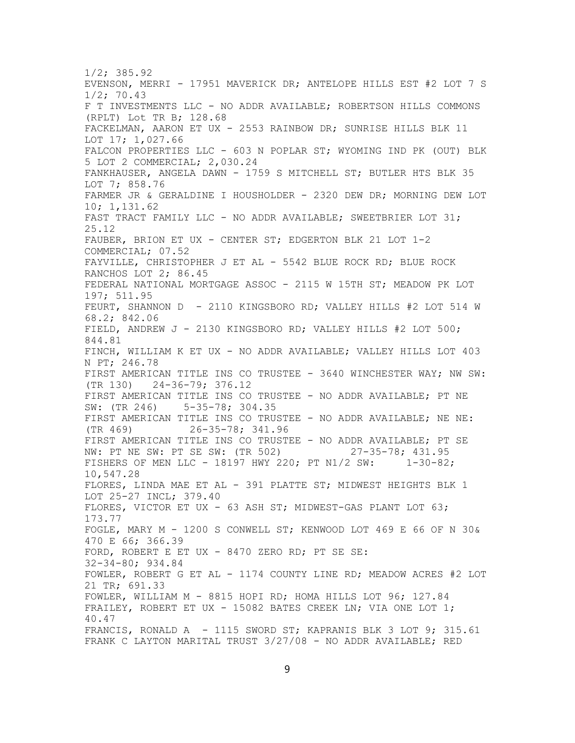1/2; 385.92 EVENSON, MERRI - 17951 MAVERICK DR; ANTELOPE HILLS EST #2 LOT 7 S 1/2; 70.43 F T INVESTMENTS LLC - NO ADDR AVAILABLE; ROBERTSON HILLS COMMONS (RPLT) Lot TR B; 128.68 FACKELMAN, AARON ET UX - 2553 RAINBOW DR; SUNRISE HILLS BLK 11 LOT 17; 1,027.66 FALCON PROPERTIES LLC - 603 N POPLAR ST; WYOMING IND PK (OUT) BLK 5 LOT 2 COMMERCIAL; 2,030.24 FANKHAUSER, ANGELA DAWN - 1759 S MITCHELL ST; BUTLER HTS BLK 35 LOT 7; 858.76 FARMER JR & GERALDINE I HOUSHOLDER - 2320 DEW DR; MORNING DEW LOT 10; 1,131.62 FAST TRACT FAMILY LLC - NO ADDR AVAILABLE; SWEETBRIER LOT 31; 25.12 FAUBER, BRION ET UX - CENTER ST; EDGERTON BLK 21 LOT 1-2 COMMERCIAL; 07.52 FAYVILLE, CHRISTOPHER J ET AL - 5542 BLUE ROCK RD; BLUE ROCK RANCHOS LOT 2; 86.45 FEDERAL NATIONAL MORTGAGE ASSOC - 2115 W 15TH ST; MEADOW PK LOT 197; 511.95 FEURT, SHANNON D - 2110 KINGSBORO RD; VALLEY HILLS #2 LOT 514 W 68.2; 842.06 FIELD, ANDREW J - 2130 KINGSBORO RD; VALLEY HILLS #2 LOT 500; 844.81 FINCH, WILLIAM K ET UX - NO ADDR AVAILABLE; VALLEY HILLS LOT 403 N PT; 246.78 FIRST AMERICAN TITLE INS CO TRUSTEE - 3640 WINCHESTER WAY; NW SW: (TR 130) 24-36-79; 376.12 FIRST AMERICAN TITLE INS CO TRUSTEE - NO ADDR AVAILABLE; PT NE<br>SW: (TR 246) 5-35-78; 304.35  $5 - 35 - 78; 304.35$ FIRST AMERICAN TITLE INS CO TRUSTEE - NO ADDR AVAILABLE; NE NE:<br>(TR 469) 26-35-78; 341.96  $26 - 35 - 78; 341.96$ FIRST AMERICAN TITLE INS CO TRUSTEE - NO ADDR AVAILABLE; PT SE<br>NW: PT NE SW: PT SE SW: (TR 502) 27-35-78; 431.95 NW: PT NE SW: PT SE SW: (TR 502) FISHERS OF MEN LLC - 18197 HWY 220; PT N1/2 SW: 1-30-82; 10,547.28 FLORES, LINDA MAE ET AL - 391 PLATTE ST; MIDWEST HEIGHTS BLK 1 LOT 25-27 INCL; 379.40 FLORES, VICTOR ET UX - 63 ASH ST; MIDWEST-GAS PLANT LOT 63; 173.77 FOGLE, MARY M - 1200 S CONWELL ST; KENWOOD LOT 469 E 66 OF N 30& 470 E 66; 366.39 FORD, ROBERT E ET UX - 8470 ZERO RD; PT SE SE: 32-34-80; 934.84 FOWLER, ROBERT G ET AL - 1174 COUNTY LINE RD; MEADOW ACRES #2 LOT 21 TR; 691.33 FOWLER, WILLIAM M - 8815 HOPI RD; HOMA HILLS LOT 96; 127.84 FRAILEY, ROBERT ET UX - 15082 BATES CREEK LN; VIA ONE LOT 1; 40.47 FRANCIS, RONALD A - 1115 SWORD ST; KAPRANIS BLK 3 LOT 9; 315.61 FRANK C LAYTON MARITAL TRUST  $3/27/08$  - NO ADDR AVAILABLE; RED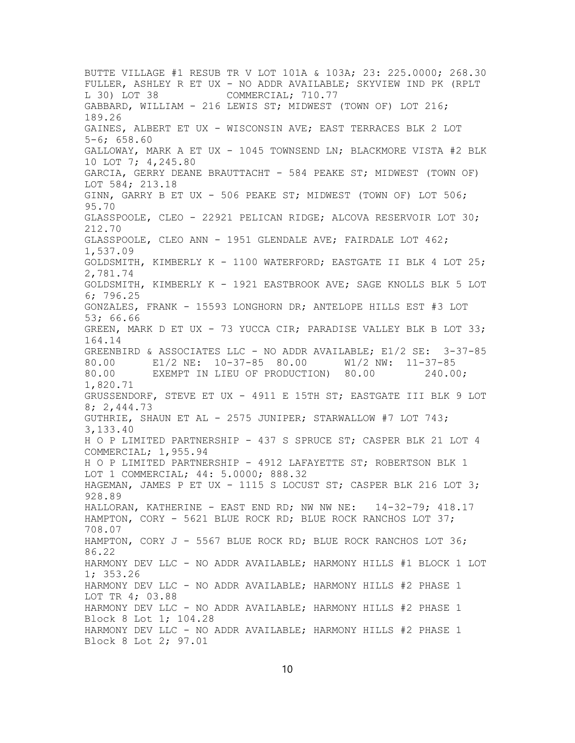BUTTE VILLAGE #1 RESUB TR V LOT 101A & 103A; 23: 225.0000; 268.30 FULLER, ASHLEY R ET UX - NO ADDR AVAILABLE; SKYVIEW IND PK (RPLT L 30) LOT 38 COMMERCIAL; 710.77 GABBARD, WILLIAM - 216 LEWIS ST; MIDWEST (TOWN OF) LOT 216; 189.26 GAINES, ALBERT ET UX - WISCONSIN AVE; EAST TERRACES BLK 2 LOT 5-6; 658.60 GALLOWAY, MARK A ET UX - 1045 TOWNSEND LN; BLACKMORE VISTA #2 BLK 10 LOT 7; 4,245.80 GARCIA, GERRY DEANE BRAUTTACHT - 584 PEAKE ST; MIDWEST (TOWN OF) LOT 584; 213.18 GINN, GARRY B ET UX - 506 PEAKE ST; MIDWEST (TOWN OF) LOT 506; 95.70 GLASSPOOLE, CLEO - 22921 PELICAN RIDGE; ALCOVA RESERVOIR LOT 30; 212.70 GLASSPOOLE, CLEO ANN - 1951 GLENDALE AVE; FAIRDALE LOT 462; 1,537.09 GOLDSMITH, KIMBERLY K - 1100 WATERFORD; EASTGATE II BLK 4 LOT 25; 2,781.74 GOLDSMITH, KIMBERLY K - 1921 EASTBROOK AVE; SAGE KNOLLS BLK 5 LOT 6; 796.25 GONZALES, FRANK - 15593 LONGHORN DR; ANTELOPE HILLS EST #3 LOT 53; 66.66 GREEN, MARK D ET UX - 73 YUCCA CIR; PARADISE VALLEY BLK B LOT 33; 164.14 GREENBIRD & ASSOCIATES LLC - NO ADDR AVAILABLE; E1/2 SE: 3-37-85<br>80.00 E1/2 NE: 10-37-85 80.00 W1/2 NW: 11-37-85 E1/2 NE: 10-37-85 80.00 80.00 EXEMPT IN LIEU OF PRODUCTION) 80.00 240.00; 1,820.71 GRUSSENDORF, STEVE ET UX - 4911 E 15TH ST; EASTGATE III BLK 9 LOT 8; 2,444.73 GUTHRIE, SHAUN ET AL - 2575 JUNIPER; STARWALLOW #7 LOT 743; 3,133.40 H O P LIMITED PARTNERSHIP - 437 S SPRUCE ST; CASPER BLK 21 LOT 4 COMMERCIAL; 1,955.94 H O P LIMITED PARTNERSHIP - 4912 LAFAYETTE ST; ROBERTSON BLK 1 LOT 1 COMMERCIAL; 44: 5.0000; 888.32 HAGEMAN, JAMES P ET UX - 1115 S LOCUST ST; CASPER BLK 216 LOT 3; 928.89 HALLORAN, KATHERINE - EAST END RD; NW NW NE: 14-32-79; 418.17 HAMPTON, CORY - 5621 BLUE ROCK RD; BLUE ROCK RANCHOS LOT 37; 708.07 HAMPTON, CORY J - 5567 BLUE ROCK RD; BLUE ROCK RANCHOS LOT 36; 86.22 HARMONY DEV LLC - NO ADDR AVAILABLE; HARMONY HILLS #1 BLOCK 1 LOT 1; 353.26 HARMONY DEV LLC - NO ADDR AVAILABLE; HARMONY HILLS #2 PHASE 1 LOT TR 4; 03.88 HARMONY DEV LLC - NO ADDR AVAILABLE; HARMONY HILLS #2 PHASE 1 Block 8 Lot 1; 104.28 HARMONY DEV LLC - NO ADDR AVAILABLE; HARMONY HILLS #2 PHASE 1 Block 8 Lot 2; 97.01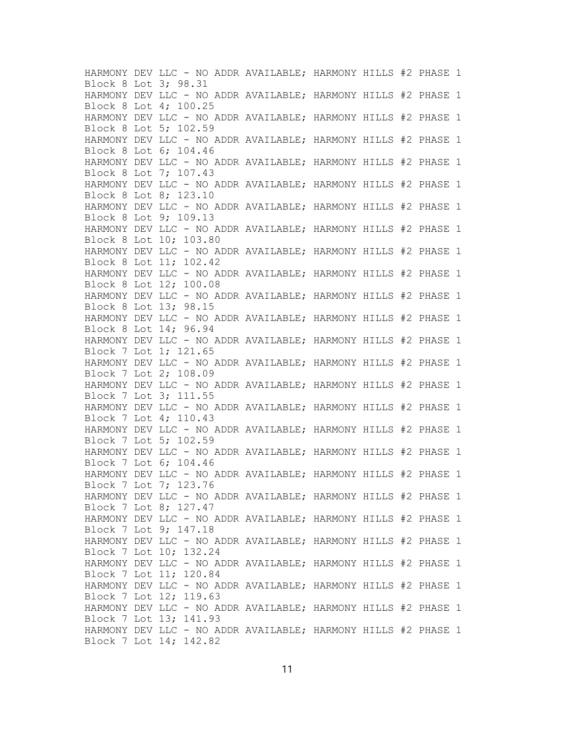HARMONY DEV LLC - NO ADDR AVAILABLE; HARMONY HILLS #2 PHASE 1 Block 8 Lot 3; 98.31 HARMONY DEV LLC - NO ADDR AVAILABLE; HARMONY HILLS #2 PHASE 1 Block 8 Lot 4; 100.25 HARMONY DEV LLC - NO ADDR AVAILABLE; HARMONY HILLS #2 PHASE 1 Block 8 Lot 5; 102.59 HARMONY DEV LLC - NO ADDR AVAILABLE; HARMONY HILLS #2 PHASE 1 Block 8 Lot 6; 104.46 HARMONY DEV LLC - NO ADDR AVAILABLE; HARMONY HILLS #2 PHASE 1 Block 8 Lot 7; 107.43 HARMONY DEV LLC - NO ADDR AVAILABLE; HARMONY HILLS #2 PHASE 1 Block 8 Lot 8; 123.10 HARMONY DEV LLC - NO ADDR AVAILABLE; HARMONY HILLS #2 PHASE 1 Block 8 Lot 9; 109.13 HARMONY DEV LLC - NO ADDR AVAILABLE; HARMONY HILLS #2 PHASE 1 Block 8 Lot 10; 103.80 HARMONY DEV LLC - NO ADDR AVAILABLE; HARMONY HILLS #2 PHASE 1 Block 8 Lot 11; 102.42 HARMONY DEV LLC - NO ADDR AVAILABLE; HARMONY HILLS #2 PHASE 1 Block 8 Lot 12; 100.08 HARMONY DEV LLC - NO ADDR AVAILABLE; HARMONY HILLS #2 PHASE 1 Block 8 Lot 13; 98.15 HARMONY DEV LLC - NO ADDR AVAILABLE; HARMONY HILLS #2 PHASE 1 Block 8 Lot 14; 96.94 HARMONY DEV LLC - NO ADDR AVAILABLE; HARMONY HILLS #2 PHASE 1 Block 7 Lot 1; 121.65 HARMONY DEV LLC - NO ADDR AVAILABLE; HARMONY HILLS #2 PHASE 1 Block 7 Lot 2; 108.09 HARMONY DEV LLC - NO ADDR AVAILABLE; HARMONY HILLS #2 PHASE 1 Block 7 Lot 3; 111.55 HARMONY DEV LLC - NO ADDR AVAILABLE; HARMONY HILLS #2 PHASE 1 Block 7 Lot 4; 110.43 HARMONY DEV LLC - NO ADDR AVAILABLE; HARMONY HILLS #2 PHASE 1 Block 7 Lot 5; 102.59 HARMONY DEV LLC - NO ADDR AVAILABLE; HARMONY HILLS #2 PHASE 1 Block 7 Lot 6; 104.46 HARMONY DEV LLC - NO ADDR AVAILABLE; HARMONY HILLS #2 PHASE 1 Block 7 Lot 7; 123.76 HARMONY DEV LLC - NO ADDR AVAILABLE; HARMONY HILLS #2 PHASE 1 Block 7 Lot 8; 127.47 HARMONY DEV LLC - NO ADDR AVAILABLE; HARMONY HILLS #2 PHASE 1 Block 7 Lot 9; 147.18 HARMONY DEV LLC - NO ADDR AVAILABLE; HARMONY HILLS #2 PHASE 1 Block 7 Lot 10; 132.24 HARMONY DEV LLC - NO ADDR AVAILABLE; HARMONY HILLS #2 PHASE 1 Block 7 Lot 11; 120.84 HARMONY DEV LLC - NO ADDR AVAILABLE; HARMONY HILLS #2 PHASE 1 Block 7 Lot 12; 119.63 HARMONY DEV LLC - NO ADDR AVAILABLE; HARMONY HILLS #2 PHASE 1 Block 7 Lot 13; 141.93 HARMONY DEV LLC - NO ADDR AVAILABLE; HARMONY HILLS #2 PHASE 1 Block 7 Lot 14; 142.82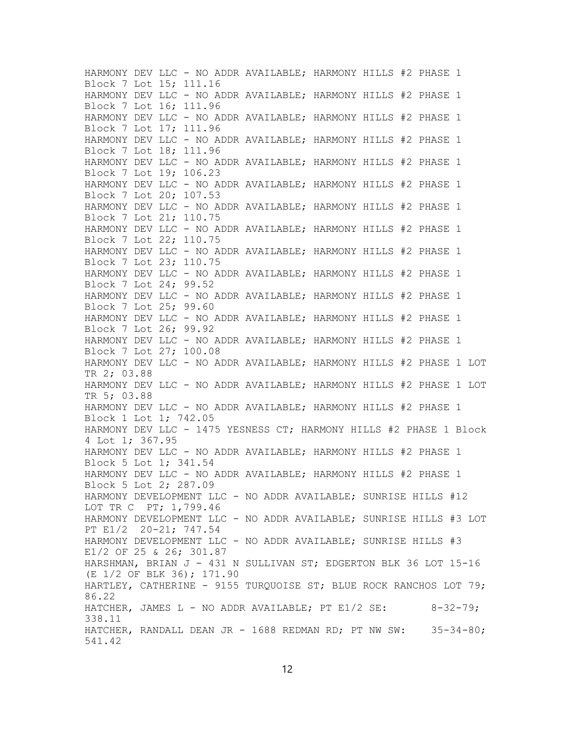HARMONY DEV LLC - NO ADDR AVAILABLE; HARMONY HILLS #2 PHASE 1 Block 7 Lot 15; 111.16 HARMONY DEV LLC - NO ADDR AVAILABLE; HARMONY HILLS #2 PHASE 1 Block 7 Lot 16; 111.96 HARMONY DEV LLC - NO ADDR AVAILABLE; HARMONY HILLS #2 PHASE 1 Block 7 Lot 17; 111.96 HARMONY DEV LLC - NO ADDR AVAILABLE; HARMONY HILLS #2 PHASE 1 Block 7 Lot 18; 111.96 HARMONY DEV LLC - NO ADDR AVAILABLE; HARMONY HILLS #2 PHASE 1 Block 7 Lot 19; 106.23 HARMONY DEV LLC - NO ADDR AVAILABLE; HARMONY HILLS #2 PHASE 1 Block 7 Lot 20; 107.53 HARMONY DEV LLC - NO ADDR AVAILABLE; HARMONY HILLS #2 PHASE 1 Block 7 Lot 21; 110.75 HARMONY DEV LLC - NO ADDR AVAILABLE; HARMONY HILLS #2 PHASE 1 Block 7 Lot 22; 110.75 HARMONY DEV LLC - NO ADDR AVAILABLE; HARMONY HILLS #2 PHASE 1 Block 7 Lot 23; 110.75 HARMONY DEV LLC - NO ADDR AVAILABLE; HARMONY HILLS #2 PHASE 1 Block 7 Lot 24; 99.52 HARMONY DEV LLC - NO ADDR AVAILABLE; HARMONY HILLS #2 PHASE 1 Block 7 Lot 25; 99.60 HARMONY DEV LLC - NO ADDR AVAILABLE; HARMONY HILLS #2 PHASE 1 Block 7 Lot 26; 99.92 HARMONY DEV LLC - NO ADDR AVAILABLE; HARMONY HILLS #2 PHASE 1 Block 7 Lot 27; 100.08 HARMONY DEV LLC - NO ADDR AVAILABLE; HARMONY HILLS #2 PHASE 1 LOT TR 2; 03.88 HARMONY DEV LLC - NO ADDR AVAILABLE; HARMONY HILLS #2 PHASE 1 LOT TR 5; 03.88 HARMONY DEV LLC - NO ADDR AVAILABLE; HARMONY HILLS #2 PHASE 1 Block 1 Lot 1; 742.05 HARMONY DEV LLC - 1475 YESNESS CT; HARMONY HILLS #2 PHASE 1 Block 4 Lot 1; 367.95 HARMONY DEV LLC - NO ADDR AVAILABLE; HARMONY HILLS #2 PHASE 1 Block 5 Lot 1; 341.54 HARMONY DEV LLC - NO ADDR AVAILABLE; HARMONY HILLS #2 PHASE 1 Block 5 Lot 2; 287.09 HARMONY DEVELOPMENT LLC - NO ADDR AVAILABLE; SUNRISE HILLS #12 LOT TR C PT; 1,799.46 HARMONY DEVELOPMENT LLC - NO ADDR AVAILABLE; SUNRISE HILLS #3 LOT PT E1/2 20-21; 747.54 HARMONY DEVELOPMENT LLC - NO ADDR AVAILABLE; SUNRISE HILLS #3 E1/2 OF 25 & 26; 301.87 HARSHMAN, BRIAN J - 431 N SULLIVAN ST; EDGERTON BLK 36 LOT 15-16 (E 1/2 OF BLK 36); 171.90 HARTLEY, CATHERINE - 9155 TURQUOISE ST; BLUE ROCK RANCHOS LOT 79; 86.22 HATCHER, JAMES  $L - NO ADDR AVAILABLE$ ; PT E1/2 SE:  $8-32-79$ ; 338.11 HATCHER, RANDALL DEAN JR - 1688 REDMAN RD; PT NW SW: 35-34-80; 541.42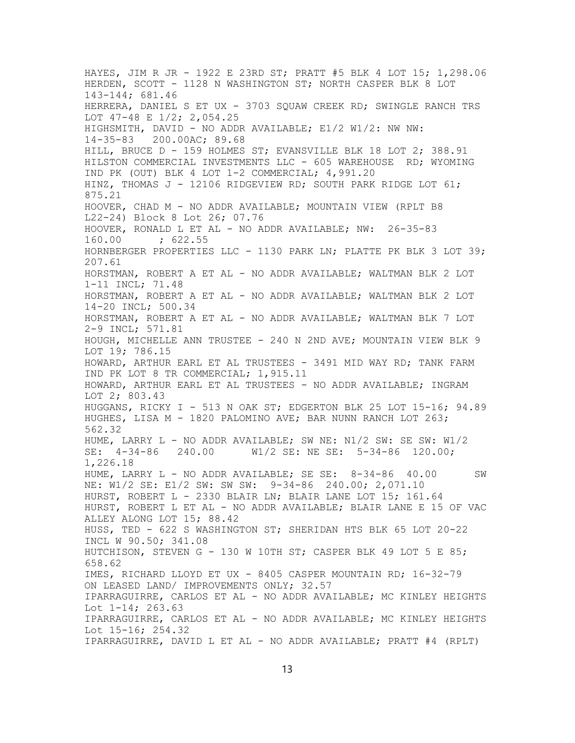HAYES, JIM R JR - 1922 E 23RD ST; PRATT #5 BLK 4 LOT 15; 1,298.06 HERDEN, SCOTT - 1128 N WASHINGTON ST; NORTH CASPER BLK 8 LOT 143-144; 681.46 HERRERA, DANIEL S ET UX - 3703 SQUAW CREEK RD; SWINGLE RANCH TRS LOT 47-48 E 1/2; 2,054.25 HIGHSMITH, DAVID - NO ADDR AVAILABLE; E1/2 W1/2: NW NW: 14-35-83 200.00AC; 89.68 HILL, BRUCE D - 159 HOLMES ST; EVANSVILLE BLK 18 LOT 2; 388.91 HILSTON COMMERCIAL INVESTMENTS LLC - 605 WAREHOUSE RD; WYOMING IND PK (OUT) BLK 4 LOT 1-2 COMMERCIAL; 4,991.20 HINZ, THOMAS J - 12106 RIDGEVIEW RD; SOUTH PARK RIDGE LOT 61; 875.21 HOOVER, CHAD M - NO ADDR AVAILABLE; MOUNTAIN VIEW (RPLT B8 L22-24) Block 8 Lot 26; 07.76 HOOVER, RONALD L ET AL - NO ADDR AVAILABLE; NW: 26-35-83 160.00 ; 622.55 HORNBERGER PROPERTIES LLC - 1130 PARK LN; PLATTE PK BLK 3 LOT 39; 207.61 HORSTMAN, ROBERT A ET AL - NO ADDR AVAILABLE; WALTMAN BLK 2 LOT 1-11 INCL; 71.48 HORSTMAN, ROBERT A ET AL - NO ADDR AVAILABLE; WALTMAN BLK 2 LOT 14-20 INCL; 500.34 HORSTMAN, ROBERT A ET AL - NO ADDR AVAILABLE; WALTMAN BLK 7 LOT 2-9 INCL; 571.81 HOUGH, MICHELLE ANN TRUSTEE - 240 N 2ND AVE; MOUNTAIN VIEW BLK 9 LOT 19; 786.15 HOWARD, ARTHUR EARL ET AL TRUSTEES - 3491 MID WAY RD; TANK FARM IND PK LOT 8 TR COMMERCIAL; 1,915.11 HOWARD, ARTHUR EARL ET AL TRUSTEES - NO ADDR AVAILABLE; INGRAM LOT 2; 803.43 HUGGANS, RICKY I - 513 N OAK ST; EDGERTON BLK 25 LOT 15-16; 94.89 HUGHES, LISA M - 1820 PALOMINO AVE; BAR NUNN RANCH LOT 263; 562.32 HUME, LARRY L - NO ADDR AVAILABLE; SW NE: N1/2 SW: SE SW: W1/2 SE: 4-34-86 240.00 W1/2 SE: NE SE: 5-34-86 120.00; 1,226.18 HUME, LARRY L - NO ADDR AVAILABLE; SE SE: 8-34-86 40.00 SW NE: W1/2 SE: E1/2 SW: SW SW: 9-34-86 240.00; 2,071.10 HURST, ROBERT L - 2330 BLAIR LN; BLAIR LANE LOT 15; 161.64 HURST, ROBERT L ET AL - NO ADDR AVAILABLE; BLAIR LANE E 15 OF VAC ALLEY ALONG LOT 15; 88.42 HUSS, TED - 622 S WASHINGTON ST; SHERIDAN HTS BLK 65 LOT 20-22 INCL W 90.50; 341.08 HUTCHISON, STEVEN G - 130 W 10TH ST; CASPER BLK 49 LOT 5 E 85; 658.62 IMES, RICHARD LLOYD ET UX - 8405 CASPER MOUNTAIN RD; 16-32-79 ON LEASED LAND/ IMPROVEMENTS ONLY; 32.57 IPARRAGUIRRE, CARLOS ET AL - NO ADDR AVAILABLE; MC KINLEY HEIGHTS Lot 1-14; 263.63 IPARRAGUIRRE, CARLOS ET AL - NO ADDR AVAILABLE; MC KINLEY HEIGHTS Lot 15-16; 254.32 IPARRAGUIRRE, DAVID L ET AL - NO ADDR AVAILABLE; PRATT #4 (RPLT)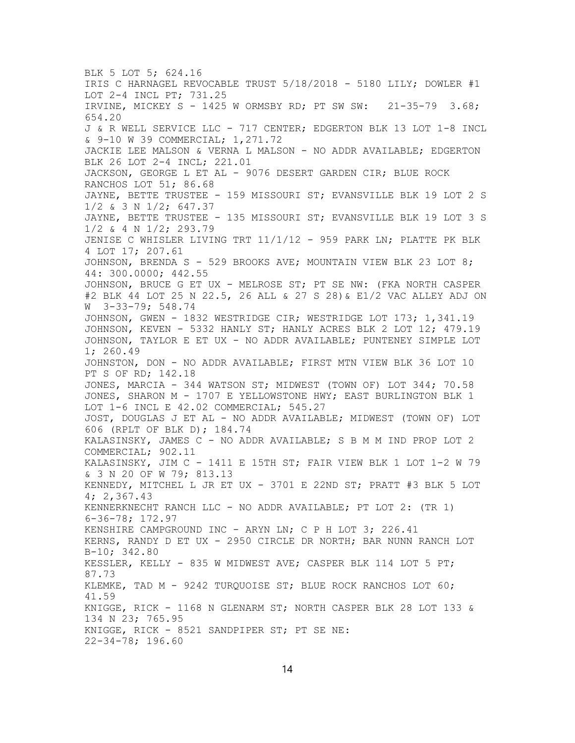BLK 5 LOT 5; 624.16 IRIS C HARNAGEL REVOCABLE TRUST 5/18/2018 - 5180 LILY; DOWLER #1 LOT 2-4 INCL PT; 731.25 IRVINE, MICKEY S - 1425 W ORMSBY RD; PT SW SW: 21-35-79 3.68; 654.20 J & R WELL SERVICE LLC - 717 CENTER; EDGERTON BLK 13 LOT 1-8 INCL & 9-10 W 39 COMMERCIAL; 1,271.72 JACKIE LEE MALSON & VERNA L MALSON - NO ADDR AVAILABLE; EDGERTON BLK 26 LOT 2-4 INCL; 221.01 JACKSON, GEORGE L ET AL - 9076 DESERT GARDEN CIR; BLUE ROCK RANCHOS LOT 51; 86.68 JAYNE, BETTE TRUSTEE - 159 MISSOURI ST; EVANSVILLE BLK 19 LOT 2 S 1/2 & 3 N 1/2; 647.37 JAYNE, BETTE TRUSTEE - 135 MISSOURI ST; EVANSVILLE BLK 19 LOT 3 S 1/2 & 4 N 1/2; 293.79 JENISE C WHISLER LIVING TRT 11/1/12 - 959 PARK LN; PLATTE PK BLK 4 LOT 17; 207.61 JOHNSON, BRENDA S - 529 BROOKS AVE; MOUNTAIN VIEW BLK 23 LOT 8; 44: 300.0000; 442.55 JOHNSON, BRUCE G ET UX - MELROSE ST; PT SE NW: (FKA NORTH CASPER #2 BLK 44 LOT 25 N 22.5, 26 ALL & 27 S 28)& E1/2 VAC ALLEY ADJ ON W 3-33-79; 548.74 JOHNSON, GWEN - 1832 WESTRIDGE CIR; WESTRIDGE LOT 173; 1,341.19 JOHNSON, KEVEN - 5332 HANLY ST; HANLY ACRES BLK 2 LOT 12; 479.19 JOHNSON, TAYLOR E ET UX - NO ADDR AVAILABLE; PUNTENEY SIMPLE LOT 1; 260.49 JOHNSTON, DON - NO ADDR AVAILABLE; FIRST MTN VIEW BLK 36 LOT 10 PT S OF RD; 142.18 JONES, MARCIA - 344 WATSON ST; MIDWEST (TOWN OF) LOT 344; 70.58 JONES, SHARON M - 1707 E YELLOWSTONE HWY; EAST BURLINGTON BLK 1 LOT 1-6 INCL E 42.02 COMMERCIAL; 545.27 JOST, DOUGLAS J ET AL - NO ADDR AVAILABLE; MIDWEST (TOWN OF) LOT 606 (RPLT OF BLK D); 184.74 KALASINSKY, JAMES C - NO ADDR AVAILABLE; S B M M IND PROP LOT 2 COMMERCIAL; 902.11 KALASINSKY, JIM C - 1411 E 15TH ST; FAIR VIEW BLK 1 LOT 1-2 W 79 & 3 N 20 OF W 79; 813.13 KENNEDY, MITCHEL L JR ET UX - 3701 E 22ND ST; PRATT #3 BLK 5 LOT 4; 2,367.43 KENNERKNECHT RANCH LLC - NO ADDR AVAILABLE; PT LOT 2: (TR 1) 6-36-78; 172.97 KENSHIRE CAMPGROUND INC - ARYN LN; C P H LOT 3; 226.41 KERNS, RANDY D ET UX - 2950 CIRCLE DR NORTH; BAR NUNN RANCH LOT B-10; 342.80 KESSLER, KELLY - 835 W MIDWEST AVE; CASPER BLK 114 LOT 5 PT; 87.73 KLEMKE, TAD M - 9242 TURQUOISE ST; BLUE ROCK RANCHOS LOT 60; 41.59 KNIGGE, RICK - 1168 N GLENARM ST; NORTH CASPER BLK 28 LOT 133 & 134 N 23; 765.95 KNIGGE, RICK - 8521 SANDPIPER ST; PT SE NE: 22-34-78; 196.60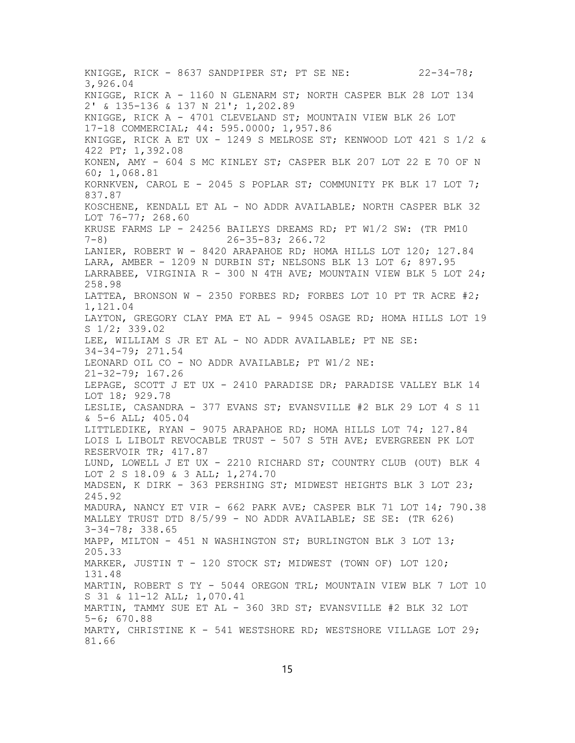KNIGGE, RICK - 8637 SANDPIPER ST; PT SE NE: 22-34-78; 3,926.04 KNIGGE, RICK A - 1160 N GLENARM ST; NORTH CASPER BLK 28 LOT 134 2' & 135-136 & 137 N 21'; 1,202.89 KNIGGE, RICK A - 4701 CLEVELAND ST; MOUNTAIN VIEW BLK 26 LOT 17-18 COMMERCIAL; 44: 595.0000; 1,957.86 KNIGGE, RICK A ET UX - 1249 S MELROSE ST; KENWOOD LOT 421 S 1/2 & 422 PT; 1,392.08 KONEN, AMY - 604 S MC KINLEY ST; CASPER BLK 207 LOT 22 E 70 OF N 60; 1,068.81 KORNKVEN, CAROL E - 2045 S POPLAR ST; COMMUNITY PK BLK 17 LOT 7; 837.87 KOSCHENE, KENDALL ET AL - NO ADDR AVAILABLE; NORTH CASPER BLK 32 LOT 76-77; 268.60 KRUSE FARMS LP - 24256 BAILEYS DREAMS RD; PT W1/2 SW: (TR PM10 7-8) 26-35-83; 266.72 LANIER, ROBERT W - 8420 ARAPAHOE RD; HOMA HILLS LOT 120; 127.84 LARA, AMBER - 1209 N DURBIN ST; NELSONS BLK 13 LOT 6; 897.95 LARRABEE, VIRGINIA R - 300 N 4TH AVE; MOUNTAIN VIEW BLK 5 LOT 24; 258.98 LATTEA, BRONSON W - 2350 FORBES RD; FORBES LOT 10 PT TR ACRE #2; 1,121.04 LAYTON, GREGORY CLAY PMA ET AL - 9945 OSAGE RD; HOMA HILLS LOT 19 S 1/2; 339.02 LEE, WILLIAM S JR ET AL - NO ADDR AVAILABLE; PT NE SE: 34-34-79; 271.54 LEONARD OIL CO - NO ADDR AVAILABLE; PT W1/2 NE: 21-32-79; 167.26 LEPAGE, SCOTT J ET UX - 2410 PARADISE DR; PARADISE VALLEY BLK 14 LOT 18; 929.78 LESLIE, CASANDRA - 377 EVANS ST; EVANSVILLE #2 BLK 29 LOT 4 S 11 & 5-6 ALL; 405.04 LITTLEDIKE, RYAN - 9075 ARAPAHOE RD; HOMA HILLS LOT 74; 127.84 LOIS L LIBOLT REVOCABLE TRUST - 507 S 5TH AVE; EVERGREEN PK LOT RESERVOIR TR; 417.87 LUND, LOWELL J ET UX - 2210 RICHARD ST; COUNTRY CLUB (OUT) BLK 4 LOT 2 S 18.09 & 3 ALL; 1,274.70 MADSEN, K DIRK - 363 PERSHING ST; MIDWEST HEIGHTS BLK 3 LOT 23; 245.92 MADURA, NANCY ET VIR - 662 PARK AVE; CASPER BLK 71 LOT 14; 790.38 MALLEY TRUST DTD 8/5/99 - NO ADDR AVAILABLE; SE SE: (TR 626) 3-34-78; 338.65 MAPP, MILTON - 451 N WASHINGTON ST; BURLINGTON BLK 3 LOT 13; 205.33 MARKER, JUSTIN T - 120 STOCK ST; MIDWEST (TOWN OF) LOT 120; 131.48 MARTIN, ROBERT S TY - 5044 OREGON TRL; MOUNTAIN VIEW BLK 7 LOT 10 S 31 & 11-12 ALL; 1,070.41 MARTIN, TAMMY SUE ET AL - 360 3RD ST; EVANSVILLE #2 BLK 32 LOT 5-6; 670.88 MARTY, CHRISTINE K - 541 WESTSHORE RD; WESTSHORE VILLAGE LOT  $29$ ; 81.66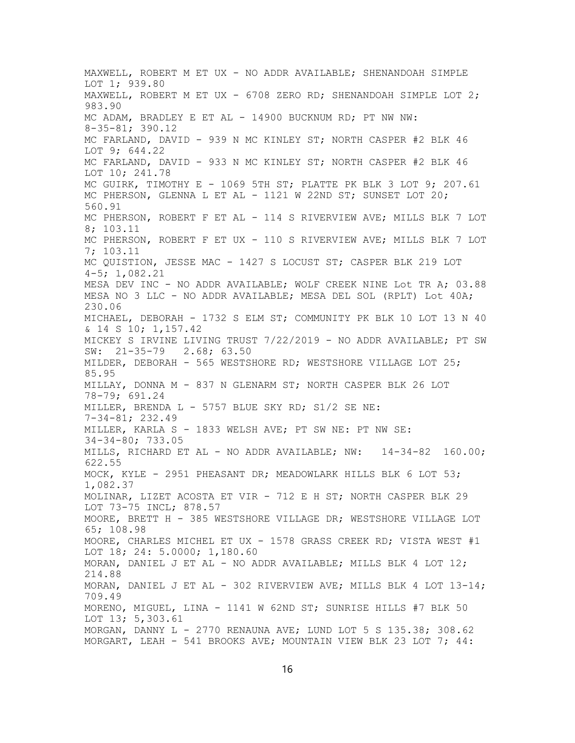MAXWELL, ROBERT M ET UX - NO ADDR AVAILABLE; SHENANDOAH SIMPLE LOT 1; 939.80 MAXWELL, ROBERT M ET UX - 6708 ZERO RD; SHENANDOAH SIMPLE LOT 2; 983.90 MC ADAM, BRADLEY E ET AL - 14900 BUCKNUM RD; PT NW NW: 8-35-81; 390.12 MC FARLAND, DAVID - 939 N MC KINLEY ST; NORTH CASPER #2 BLK 46 LOT 9; 644.22 MC FARLAND, DAVID - 933 N MC KINLEY ST; NORTH CASPER #2 BLK 46 LOT 10; 241.78 MC GUIRK, TIMOTHY E - 1069 5TH ST; PLATTE PK BLK 3 LOT 9; 207.61 MC PHERSON, GLENNA L ET AL - 1121 W 22ND ST; SUNSET LOT 20; 560.91 MC PHERSON, ROBERT F ET AL - 114 S RIVERVIEW AVE; MILLS BLK 7 LOT 8; 103.11 MC PHERSON, ROBERT F ET UX - 110 S RIVERVIEW AVE; MILLS BLK 7 LOT 7; 103.11 MC QUISTION, JESSE MAC - 1427 S LOCUST ST; CASPER BLK 219 LOT 4-5; 1,082.21 MESA DEV INC - NO ADDR AVAILABLE; WOLF CREEK NINE Lot TR A; 03.88 MESA NO 3 LLC - NO ADDR AVAILABLE; MESA DEL SOL (RPLT) Lot 40A; 230.06 MICHAEL, DEBORAH - 1732 S ELM ST; COMMUNITY PK BLK 10 LOT 13 N 40 & 14 S 10; 1,157.42 MICKEY S IRVINE LIVING TRUST 7/22/2019 - NO ADDR AVAILABLE; PT SW SW: 21-35-79 2.68; 63.50 MILDER, DEBORAH - 565 WESTSHORE RD; WESTSHORE VILLAGE LOT 25; 85.95 MILLAY, DONNA M - 837 N GLENARM ST; NORTH CASPER BLK 26 LOT 78-79; 691.24 MILLER, BRENDA L - 5757 BLUE SKY RD; S1/2 SE NE: 7-34-81; 232.49 MILLER, KARLA S - 1833 WELSH AVE; PT SW NE: PT NW SE: 34-34-80; 733.05 MILLS, RICHARD ET AL - NO ADDR AVAILABLE; NW: 14-34-82 160.00; 622.55 MOCK, KYLE - 2951 PHEASANT DR; MEADOWLARK HILLS BLK 6 LOT 53; 1,082.37 MOLINAR, LIZET ACOSTA ET VIR - 712 E H ST; NORTH CASPER BLK 29 LOT 73-75 INCL; 878.57 MOORE, BRETT H - 385 WESTSHORE VILLAGE DR; WESTSHORE VILLAGE LOT 65; 108.98 MOORE, CHARLES MICHEL ET UX - 1578 GRASS CREEK RD; VISTA WEST #1 LOT 18; 24: 5.0000; 1,180.60 MORAN, DANIEL J ET AL - NO ADDR AVAILABLE; MILLS BLK 4 LOT  $12$ ; 214.88 MORAN, DANIEL J ET AL - 302 RIVERVIEW AVE; MILLS BLK 4 LOT 13-14; 709.49 MORENO, MIGUEL, LINA - 1141 W 62ND ST; SUNRISE HILLS #7 BLK 50 LOT 13; 5,303.61 MORGAN, DANNY L - 2770 RENAUNA AVE; LUND LOT 5 S 135.38; 308.62 MORGART, LEAH - 541 BROOKS AVE; MOUNTAIN VIEW BLK 23 LOT 7; 44: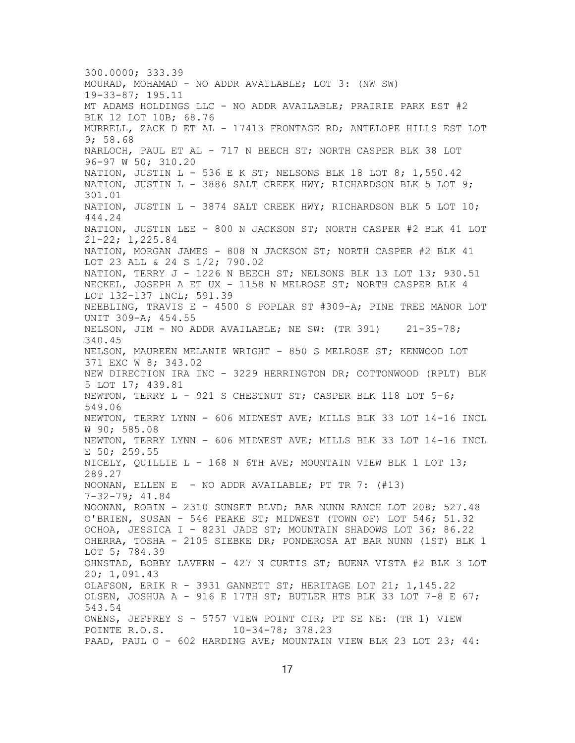300.0000; 333.39 MOURAD, MOHAMAD - NO ADDR AVAILABLE; LOT 3: (NW SW) 19-33-87; 195.11 MT ADAMS HOLDINGS LLC - NO ADDR AVAILABLE; PRAIRIE PARK EST #2 BLK 12 LOT 10B; 68.76 MURRELL, ZACK D ET AL - 17413 FRONTAGE RD; ANTELOPE HILLS EST LOT 9; 58.68 NARLOCH, PAUL ET AL - 717 N BEECH ST; NORTH CASPER BLK 38 LOT 96-97 W 50; 310.20 NATION, JUSTIN L - 536 E K ST; NELSONS BLK 18 LOT 8; 1,550.42 NATION, JUSTIN L - 3886 SALT CREEK HWY; RICHARDSON BLK 5 LOT 9; 301.01 NATION, JUSTIN L - 3874 SALT CREEK HWY; RICHARDSON BLK 5 LOT 10; 444.24 NATION, JUSTIN LEE - 800 N JACKSON ST; NORTH CASPER #2 BLK 41 LOT 21-22; 1,225.84 NATION, MORGAN JAMES - 808 N JACKSON ST; NORTH CASPER #2 BLK 41 LOT 23 ALL & 24 S 1/2; 790.02 NATION, TERRY J - 1226 N BEECH ST; NELSONS BLK 13 LOT 13; 930.51 NECKEL, JOSEPH A ET UX - 1158 N MELROSE ST; NORTH CASPER BLK 4 LOT 132-137 INCL; 591.39 NEEBLING, TRAVIS E - 4500 S POPLAR ST #309-A; PINE TREE MANOR LOT UNIT 309-A; 454.55 NELSON, JIM - NO ADDR AVAILABLE; NE SW: (TR 391) 21-35-78; 340.45 NELSON, MAUREEN MELANIE WRIGHT - 850 S MELROSE ST; KENWOOD LOT 371 EXC W 8; 343.02 NEW DIRECTION IRA INC - 3229 HERRINGTON DR; COTTONWOOD (RPLT) BLK 5 LOT 17; 439.81 NEWTON, TERRY L - 921 S CHESTNUT ST; CASPER BLK 118 LOT 5-6; 549.06 NEWTON, TERRY LYNN - 606 MIDWEST AVE; MILLS BLK 33 LOT 14-16 INCL W 90; 585.08 NEWTON, TERRY LYNN - 606 MIDWEST AVE; MILLS BLK 33 LOT 14-16 INCL E 50; 259.55 NICELY, QUILLIE L - 168 N 6TH AVE; MOUNTAIN VIEW BLK 1 LOT  $13$ ; 289.27 NOONAN, ELLEN E - NO ADDR AVAILABLE; PT TR 7:  $(\#13)$ 7-32-79; 41.84 NOONAN, ROBIN - 2310 SUNSET BLVD; BAR NUNN RANCH LOT 208; 527.48 O'BRIEN, SUSAN - 546 PEAKE ST; MIDWEST (TOWN OF) LOT 546; 51.32 OCHOA, JESSICA I - 8231 JADE ST; MOUNTAIN SHADOWS LOT 36; 86.22 OHERRA, TOSHA - 2105 SIEBKE DR; PONDEROSA AT BAR NUNN (1ST) BLK 1 LOT 5; 784.39 OHNSTAD, BOBBY LAVERN - 427 N CURTIS ST; BUENA VISTA #2 BLK 3 LOT 20; 1,091.43 OLAFSON, ERIK R - 3931 GANNETT ST; HERITAGE LOT 21; 1,145.22 OLSEN, JOSHUA A - 916 E 17TH ST; BUTLER HTS BLK 33 LOT 7-8 E 67; 543.54 OWENS, JEFFREY S - 5757 VIEW POINT CIR; PT SE NE: (TR 1) VIEW<br>POINTE R.O.S. 10-34-78; 378.23  $10-34-78; 378.23$ PAAD, PAUL O - 602 HARDING AVE; MOUNTAIN VIEW BLK 23 LOT 23; 44: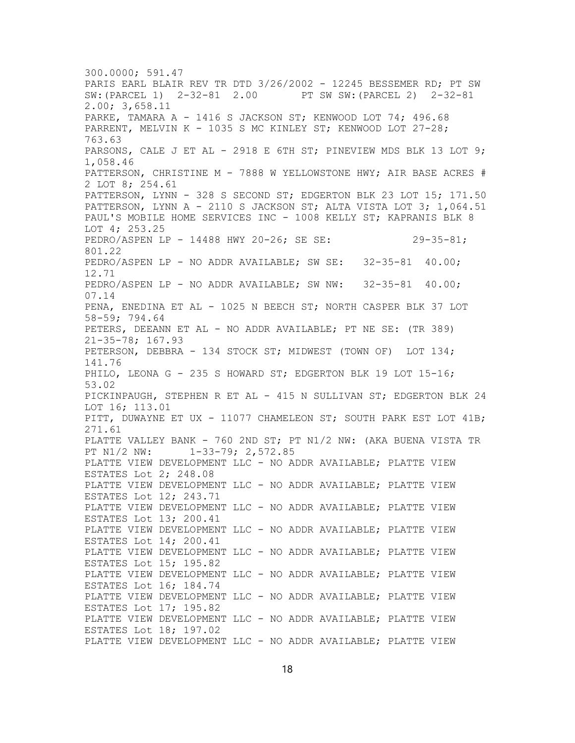300.0000; 591.47 PARIS EARL BLAIR REV TR DTD 3/26/2002 - 12245 BESSEMER RD; PT SW SW:(PARCEL 1) 2-32-81 2.00 PT SW SW:(PARCEL 2) 2-32-81 2.00; 3,658.11 PARKE, TAMARA A - 1416 S JACKSON ST; KENWOOD LOT 74; 496.68 PARRENT, MELVIN K - 1035 S MC KINLEY ST; KENWOOD LOT 27-28; 763.63 PARSONS, CALE J ET AL - 2918 E 6TH ST; PINEVIEW MDS BLK 13 LOT 9; 1,058.46 PATTERSON, CHRISTINE M - 7888 W YELLOWSTONE HWY; AIR BASE ACRES # 2 LOT 8; 254.61 PATTERSON, LYNN - 328 S SECOND ST; EDGERTON BLK 23 LOT 15; 171.50 PATTERSON, LYNN A - 2110 S JACKSON ST; ALTA VISTA LOT 3; 1,064.51 PAUL'S MOBILE HOME SERVICES INC - 1008 KELLY ST; KAPRANIS BLK 8 LOT 4; 253.25 PEDRO/ASPEN LP - 14488 HWY 20-26; SE SE: 29-35-81; 801.22 PEDRO/ASPEN LP - NO ADDR AVAILABLE; SW SE: 32-35-81 40.00; 12.71 PEDRO/ASPEN LP - NO ADDR AVAILABLE; SW NW: 32-35-81 40.00; 07.14 PENA, ENEDINA ET AL - 1025 N BEECH ST; NORTH CASPER BLK 37 LOT 58-59; 794.64 PETERS, DEEANN ET AL - NO ADDR AVAILABLE; PT NE SE: (TR 389) 21-35-78; 167.93 PETERSON, DEBBRA - 134 STOCK ST; MIDWEST (TOWN OF) LOT 134; 141.76 PHILO, LEONA G - 235 S HOWARD ST; EDGERTON BLK 19 LOT 15-16; 53.02 PICKINPAUGH, STEPHEN R ET AL - 415 N SULLIVAN ST; EDGERTON BLK 24 LOT 16; 113.01 PITT, DUWAYNE ET UX - 11077 CHAMELEON ST; SOUTH PARK EST LOT 41B; 271.61 PLATTE VALLEY BANK - 760 2ND ST; PT N1/2 NW: (AKA BUENA VISTA TR PT N1/2 NW: 1-33-79; 2,572.85 PLATTE VIEW DEVELOPMENT LLC - NO ADDR AVAILABLE; PLATTE VIEW ESTATES Lot 2; 248.08 PLATTE VIEW DEVELOPMENT LLC - NO ADDR AVAILABLE; PLATTE VIEW ESTATES Lot 12; 243.71 PLATTE VIEW DEVELOPMENT LLC - NO ADDR AVAILABLE; PLATTE VIEW ESTATES Lot 13; 200.41 PLATTE VIEW DEVELOPMENT LLC - NO ADDR AVAILABLE; PLATTE VIEW ESTATES Lot 14; 200.41 PLATTE VIEW DEVELOPMENT LLC - NO ADDR AVAILABLE; PLATTE VIEW ESTATES Lot 15; 195.82 PLATTE VIEW DEVELOPMENT LLC - NO ADDR AVAILABLE; PLATTE VIEW ESTATES Lot 16; 184.74 PLATTE VIEW DEVELOPMENT LLC - NO ADDR AVAILABLE; PLATTE VIEW ESTATES Lot 17; 195.82 PLATTE VIEW DEVELOPMENT LLC - NO ADDR AVAILABLE; PLATTE VIEW ESTATES Lot 18; 197.02 PLATTE VIEW DEVELOPMENT LLC - NO ADDR AVAILABLE; PLATTE VIEW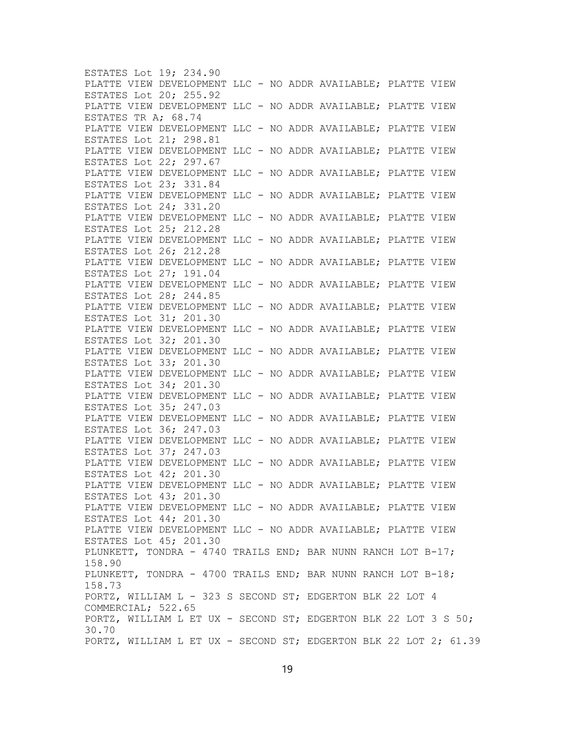ESTATES Lot 19; 234.90 PLATTE VIEW DEVELOPMENT LLC - NO ADDR AVAILABLE; PLATTE VIEW ESTATES Lot 20; 255.92 PLATTE VIEW DEVELOPMENT LLC - NO ADDR AVAILABLE; PLATTE VIEW ESTATES TR A; 68.74 PLATTE VIEW DEVELOPMENT LLC - NO ADDR AVAILABLE; PLATTE VIEW ESTATES Lot 21; 298.81 PLATTE VIEW DEVELOPMENT LLC - NO ADDR AVAILABLE; PLATTE VIEW ESTATES Lot 22; 297.67 PLATTE VIEW DEVELOPMENT LLC - NO ADDR AVAILABLE; PLATTE VIEW ESTATES Lot 23; 331.84 PLATTE VIEW DEVELOPMENT LLC - NO ADDR AVAILABLE; PLATTE VIEW ESTATES Lot 24; 331.20 PLATTE VIEW DEVELOPMENT LLC - NO ADDR AVAILABLE; PLATTE VIEW ESTATES Lot 25; 212.28 PLATTE VIEW DEVELOPMENT LLC - NO ADDR AVAILABLE; PLATTE VIEW ESTATES Lot 26; 212.28 PLATTE VIEW DEVELOPMENT LLC - NO ADDR AVAILABLE; PLATTE VIEW ESTATES Lot 27; 191.04 PLATTE VIEW DEVELOPMENT LLC - NO ADDR AVAILABLE; PLATTE VIEW ESTATES Lot 28; 244.85 PLATTE VIEW DEVELOPMENT LLC - NO ADDR AVAILABLE; PLATTE VIEW ESTATES Lot 31; 201.30 PLATTE VIEW DEVELOPMENT LLC - NO ADDR AVAILABLE; PLATTE VIEW ESTATES Lot 32; 201.30 PLATTE VIEW DEVELOPMENT LLC - NO ADDR AVAILABLE; PLATTE VIEW ESTATES Lot 33; 201.30 PLATTE VIEW DEVELOPMENT LLC - NO ADDR AVAILABLE; PLATTE VIEW ESTATES Lot 34; 201.30 PLATTE VIEW DEVELOPMENT LLC - NO ADDR AVAILABLE; PLATTE VIEW ESTATES Lot 35; 247.03 PLATTE VIEW DEVELOPMENT LLC - NO ADDR AVAILABLE; PLATTE VIEW ESTATES Lot 36; 247.03 PLATTE VIEW DEVELOPMENT LLC - NO ADDR AVAILABLE; PLATTE VIEW ESTATES Lot 37; 247.03 PLATTE VIEW DEVELOPMENT LLC - NO ADDR AVAILABLE; PLATTE VIEW ESTATES Lot 42; 201.30 PLATTE VIEW DEVELOPMENT LLC - NO ADDR AVAILABLE; PLATTE VIEW ESTATES Lot 43; 201.30 PLATTE VIEW DEVELOPMENT LLC - NO ADDR AVAILABLE; PLATTE VIEW ESTATES Lot 44; 201.30 PLATTE VIEW DEVELOPMENT LLC - NO ADDR AVAILABLE; PLATTE VIEW ESTATES Lot 45; 201.30 PLUNKETT, TONDRA - 4740 TRAILS END; BAR NUNN RANCH LOT B-17; 158.90 PLUNKETT, TONDRA - 4700 TRAILS END; BAR NUNN RANCH LOT B-18; 158.73 PORTZ, WILLIAM L - 323 S SECOND ST; EDGERTON BLK 22 LOT 4 COMMERCIAL; 522.65 PORTZ, WILLIAM L ET UX - SECOND ST; EDGERTON BLK 22 LOT 3 S 50; 30.70 PORTZ, WILLIAM L ET UX - SECOND ST; EDGERTON BLK 22 LOT 2; 61.39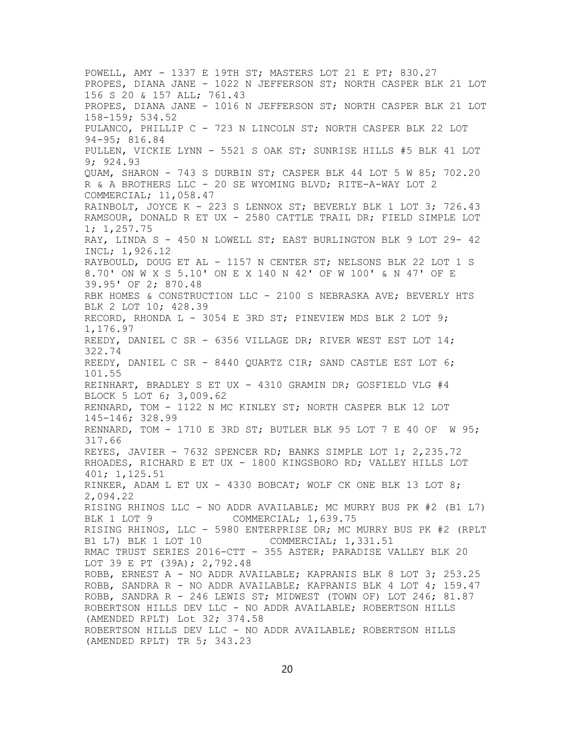POWELL, AMY - 1337 E 19TH ST; MASTERS LOT 21 E PT; 830.27 PROPES, DIANA JANE - 1022 N JEFFERSON ST; NORTH CASPER BLK 21 LOT 156 S 20 & 157 ALL; 761.43 PROPES, DIANA JANE - 1016 N JEFFERSON ST; NORTH CASPER BLK 21 LOT 158-159; 534.52 PULANCO, PHILLIP C - 723 N LINCOLN ST; NORTH CASPER BLK 22 LOT 94-95; 816.84 PULLEN, VICKIE LYNN - 5521 S OAK ST; SUNRISE HILLS #5 BLK 41 LOT 9; 924.93 QUAM, SHARON - 743 S DURBIN ST; CASPER BLK 44 LOT 5 W 85; 702.20 R & A BROTHERS LLC - 20 SE WYOMING BLVD; RITE-A-WAY LOT 2 COMMERCIAL; 11,058.47 RAINBOLT, JOYCE K - 223 S LENNOX ST; BEVERLY BLK 1 LOT 3; 726.43 RAMSOUR, DONALD R ET UX - 2580 CATTLE TRAIL DR; FIELD SIMPLE LOT 1; 1,257.75 RAY, LINDA S - 450 N LOWELL ST; EAST BURLINGTON BLK 9 LOT 29- 42 INCL; 1,926.12 RAYBOULD, DOUG ET AL - 1157 N CENTER ST; NELSONS BLK 22 LOT 1 S 8.70' ON W X S 5.10' ON E X 140 N 42' OF W 100' & N 47' OF E 39.95' OF 2; 870.48 RBK HOMES & CONSTRUCTION LLC - 2100 S NEBRASKA AVE; BEVERLY HTS BLK 2 LOT 10; 428.39 RECORD, RHONDA L - 3054 E 3RD ST; PINEVIEW MDS BLK 2 LOT 9; 1,176.97 REEDY, DANIEL C SR - 6356 VILLAGE DR; RIVER WEST EST LOT 14; 322.74 REEDY, DANIEL C SR - 8440 QUARTZ CIR; SAND CASTLE EST LOT 6; 101.55 REINHART, BRADLEY S ET UX - 4310 GRAMIN DR; GOSFIELD VLG #4 BLOCK 5 LOT 6; 3,009.62 RENNARD, TOM - 1122 N MC KINLEY ST; NORTH CASPER BLK 12 LOT 145-146; 328.99 RENNARD, TOM - 1710 E 3RD ST; BUTLER BLK 95 LOT 7 E 40 OF W 95; 317.66 REYES, JAVIER - 7632 SPENCER RD; BANKS SIMPLE LOT 1; 2,235.72 RHOADES, RICHARD E ET UX - 1800 KINGSBORO RD; VALLEY HILLS LOT 401; 1,125.51 RINKER, ADAM L ET UX - 4330 BOBCAT; WOLF CK ONE BLK 13 LOT 8; 2,094.22 RISING RHINOS LLC - NO ADDR AVAILABLE; MC MURRY BUS PK #2 (B1 L7) COMMERCIAL; 1,639.75 RISING RHINOS, LLC - 5980 ENTERPRISE DR; MC MURRY BUS PK #2 (RPLT B1 L7) BLK 1 LOT 10 COMMERCIAL; 1,331.51 RMAC TRUST SERIES 2016-CTT - 355 ASTER; PARADISE VALLEY BLK 20 LOT 39 E PT (39A); 2,792.48 ROBB, ERNEST A - NO ADDR AVAILABLE; KAPRANIS BLK 8 LOT 3; 253.25 ROBB, SANDRA R - NO ADDR AVAILABLE; KAPRANIS BLK 4 LOT 4; 159.47 ROBB, SANDRA R - 246 LEWIS ST; MIDWEST (TOWN OF) LOT 246; 81.87 ROBERTSON HILLS DEV LLC - NO ADDR AVAILABLE; ROBERTSON HILLS (AMENDED RPLT) Lot 32; 374.58 ROBERTSON HILLS DEV LLC - NO ADDR AVAILABLE; ROBERTSON HILLS (AMENDED RPLT) TR 5; 343.23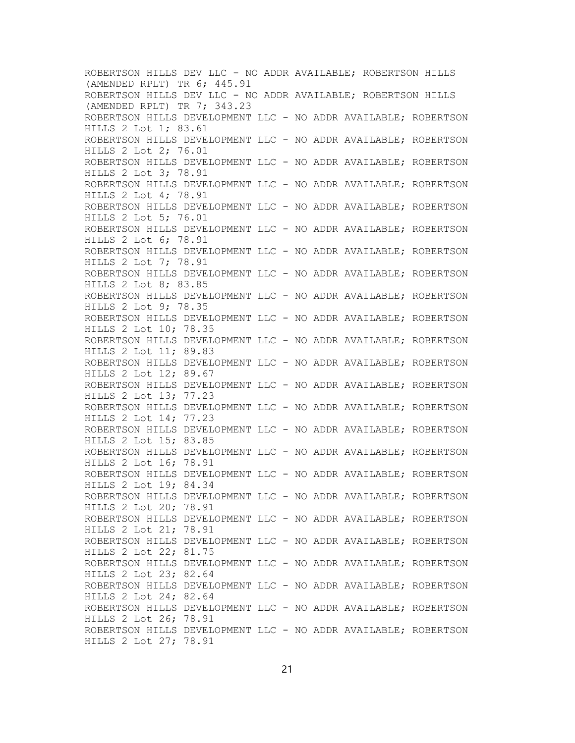ROBERTSON HILLS DEV LLC - NO ADDR AVAILABLE; ROBERTSON HILLS (AMENDED RPLT) TR 6; 445.91 ROBERTSON HILLS DEV LLC - NO ADDR AVAILABLE; ROBERTSON HILLS (AMENDED RPLT) TR 7; 343.23 ROBERTSON HILLS DEVELOPMENT LLC - NO ADDR AVAILABLE; ROBERTSON HILLS 2 Lot 1; 83.61 ROBERTSON HILLS DEVELOPMENT LLC - NO ADDR AVAILABLE; ROBERTSON HILLS 2 Lot 2; 76.01 ROBERTSON HILLS DEVELOPMENT LLC - NO ADDR AVAILABLE; ROBERTSON HILLS 2 Lot 3; 78.91 ROBERTSON HILLS DEVELOPMENT LLC - NO ADDR AVAILABLE; ROBERTSON HILLS 2 Lot 4; 78.91 ROBERTSON HILLS DEVELOPMENT LLC - NO ADDR AVAILABLE; ROBERTSON HILLS 2 Lot 5; 76.01 ROBERTSON HILLS DEVELOPMENT LLC - NO ADDR AVAILABLE; ROBERTSON HILLS 2 Lot 6; 78.91 ROBERTSON HILLS DEVELOPMENT LLC - NO ADDR AVAILABLE; ROBERTSON HILLS 2 Lot 7; 78.91 ROBERTSON HILLS DEVELOPMENT LLC - NO ADDR AVAILABLE; ROBERTSON HILLS 2 Lot 8; 83.85 ROBERTSON HILLS DEVELOPMENT LLC - NO ADDR AVAILABLE; ROBERTSON HILLS 2 Lot 9; 78.35 ROBERTSON HILLS DEVELOPMENT LLC - NO ADDR AVAILABLE; ROBERTSON HILLS 2 Lot 10; 78.35 ROBERTSON HILLS DEVELOPMENT LLC - NO ADDR AVAILABLE; ROBERTSON HILLS 2 Lot 11; 89.83 ROBERTSON HILLS DEVELOPMENT LLC - NO ADDR AVAILABLE; ROBERTSON HILLS 2 Lot 12; 89.67 ROBERTSON HILLS DEVELOPMENT LLC - NO ADDR AVAILABLE; ROBERTSON HILLS 2 Lot 13; 77.23 ROBERTSON HILLS DEVELOPMENT LLC - NO ADDR AVAILABLE; ROBERTSON HILLS 2 Lot 14; 77.23 ROBERTSON HILLS DEVELOPMENT LLC - NO ADDR AVAILABLE; ROBERTSON HILLS 2 Lot 15; 83.85 ROBERTSON HILLS DEVELOPMENT LLC - NO ADDR AVAILABLE; ROBERTSON HILLS 2 Lot 16; 78.91 ROBERTSON HILLS DEVELOPMENT LLC - NO ADDR AVAILABLE; ROBERTSON HILLS 2 Lot 19; 84.34 ROBERTSON HILLS DEVELOPMENT LLC - NO ADDR AVAILABLE; ROBERTSON HILLS 2 Lot 20; 78.91 ROBERTSON HILLS DEVELOPMENT LLC - NO ADDR AVAILABLE; ROBERTSON HILLS 2 Lot 21; 78.91 ROBERTSON HILLS DEVELOPMENT LLC - NO ADDR AVAILABLE; ROBERTSON HILLS 2 Lot 22; 81.75 ROBERTSON HILLS DEVELOPMENT LLC - NO ADDR AVAILABLE; ROBERTSON HILLS 2 Lot 23; 82.64 ROBERTSON HILLS DEVELOPMENT LLC - NO ADDR AVAILABLE; ROBERTSON HILLS 2 Lot 24; 82.64 ROBERTSON HILLS DEVELOPMENT LLC - NO ADDR AVAILABLE; ROBERTSON HILLS 2 Lot 26; 78.91 ROBERTSON HILLS DEVELOPMENT LLC - NO ADDR AVAILABLE; ROBERTSON HILLS 2 Lot 27; 78.91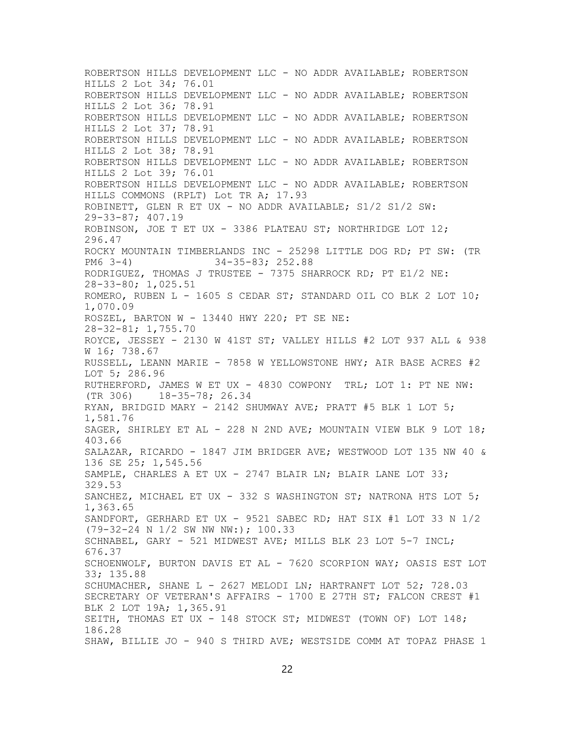ROBERTSON HILLS DEVELOPMENT LLC - NO ADDR AVAILABLE; ROBERTSON HILLS 2 Lot 34; 76.01 ROBERTSON HILLS DEVELOPMENT LLC - NO ADDR AVAILABLE; ROBERTSON HILLS 2 Lot 36; 78.91 ROBERTSON HILLS DEVELOPMENT LLC - NO ADDR AVAILABLE; ROBERTSON HILLS 2 Lot 37; 78.91 ROBERTSON HILLS DEVELOPMENT LLC - NO ADDR AVAILABLE; ROBERTSON HILLS 2 Lot 38; 78.91 ROBERTSON HILLS DEVELOPMENT LLC - NO ADDR AVAILABLE; ROBERTSON HILLS 2 Lot 39; 76.01 ROBERTSON HILLS DEVELOPMENT LLC - NO ADDR AVAILABLE; ROBERTSON HILLS COMMONS (RPLT) Lot TR A; 17.93 ROBINETT, GLEN R ET UX - NO ADDR AVAILABLE; S1/2 S1/2 SW: 29-33-87; 407.19 ROBINSON, JOE T ET UX - 3386 PLATEAU ST; NORTHRIDGE LOT 12; 296.47 ROCKY MOUNTAIN TIMBERLANDS INC - 25298 LITTLE DOG RD; PT SW: (TR PM6 3-4)  $34-35-83$ ; 252.88 PM6 3-4) 34-35-83; 252.88 RODRIGUEZ, THOMAS J TRUSTEE - 7375 SHARROCK RD; PT E1/2 NE: 28-33-80; 1,025.51 ROMERO, RUBEN L - 1605 S CEDAR ST; STANDARD OIL CO BLK 2 LOT 10; 1,070.09 ROSZEL, BARTON W - 13440 HWY 220; PT SE NE: 28-32-81; 1,755.70 ROYCE, JESSEY - 2130 W 41ST ST; VALLEY HILLS #2 LOT 937 ALL & 938 W 16; 738.67 RUSSELL, LEANN MARIE - 7858 W YELLOWSTONE HWY; AIR BASE ACRES #2 LOT 5; 286.96 RUTHERFORD, JAMES W ET UX - 4830 COWPONY TRL; LOT 1: PT NE NW:<br>(TR 306) 18-35-78; 26.34  $18 - 35 - 78; 26.34$ RYAN, BRIDGID MARY - 2142 SHUMWAY AVE; PRATT #5 BLK 1 LOT 5; 1,581.76 SAGER, SHIRLEY ET AL - 228 N 2ND AVE; MOUNTAIN VIEW BLK 9 LOT 18; 403.66 SALAZAR, RICARDO - 1847 JIM BRIDGER AVE; WESTWOOD LOT 135 NW 40 & 136 SE 25; 1,545.56 SAMPLE, CHARLES A ET UX - 2747 BLAIR LN; BLAIR LANE LOT 33; 329.53 SANCHEZ, MICHAEL ET UX - 332 S WASHINGTON ST; NATRONA HTS LOT 5; 1,363.65 SANDFORT, GERHARD ET UX - 9521 SABEC RD; HAT SIX #1 LOT 33 N 1/2 (79-32-24 N 1/2 SW NW NW:); 100.33 SCHNABEL, GARY - 521 MIDWEST AVE; MILLS BLK 23 LOT 5-7 INCL; 676.37 SCHOENWOLF, BURTON DAVIS ET AL - 7620 SCORPION WAY; OASIS EST LOT 33; 135.88 SCHUMACHER, SHANE L - 2627 MELODI LN; HARTRANFT LOT 52; 728.03 SECRETARY OF VETERAN'S AFFAIRS - 1700 E 27TH ST; FALCON CREST #1 BLK 2 LOT 19A; 1,365.91 SEITH, THOMAS ET UX - 148 STOCK ST; MIDWEST (TOWN OF) LOT 148; 186.28 SHAW, BILLIE JO - 940 S THIRD AVE; WESTSIDE COMM AT TOPAZ PHASE 1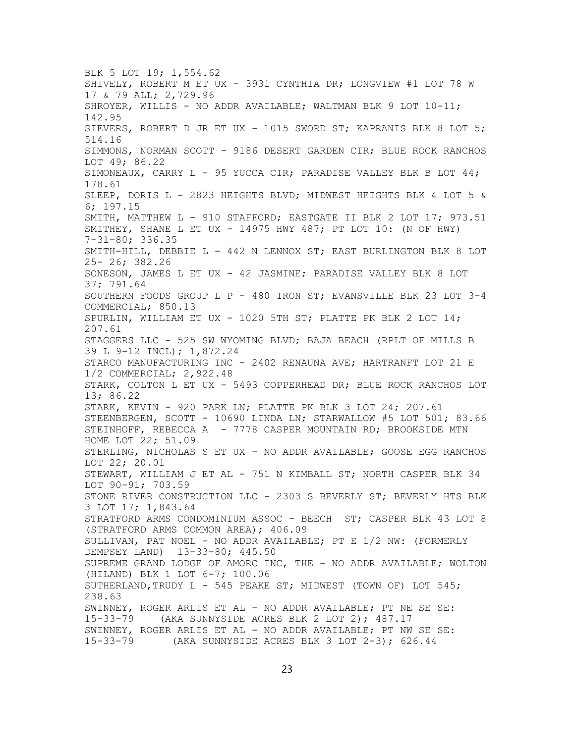BLK 5 LOT 19; 1,554.62 SHIVELY, ROBERT M ET UX - 3931 CYNTHIA DR; LONGVIEW #1 LOT 78 W 17 & 79 ALL; 2,729.96 SHROYER, WILLIS - NO ADDR AVAILABLE; WALTMAN BLK 9 LOT 10-11; 142.95 SIEVERS, ROBERT D JR ET UX - 1015 SWORD ST; KAPRANIS BLK 8 LOT 5; 514.16 SIMMONS, NORMAN SCOTT - 9186 DESERT GARDEN CIR; BLUE ROCK RANCHOS LOT 49; 86.22 SIMONEAUX, CARRY L - 95 YUCCA CIR; PARADISE VALLEY BLK B LOT 44; 178.61 SLEEP, DORIS L - 2823 HEIGHTS BLVD; MIDWEST HEIGHTS BLK 4 LOT 5 & 6; 197.15 SMITH, MATTHEW L - 910 STAFFORD; EASTGATE II BLK 2 LOT 17; 973.51 SMITHEY, SHANE L ET UX - 14975 HWY 487; PT LOT 10: (N OF HWY) 7-31-80; 336.35 SMITH-HILL, DEBBIE L - 442 N LENNOX ST; EAST BURLINGTON BLK 8 LOT 25- 26; 382.26 SONESON, JAMES L ET UX - 42 JASMINE; PARADISE VALLEY BLK 8 LOT 37; 791.64 SOUTHERN FOODS GROUP L P - 480 IRON ST; EVANSVILLE BLK 23 LOT 3-4 COMMERCIAL; 850.13 SPURLIN, WILLIAM ET UX - 1020 5TH ST; PLATTE PK BLK 2 LOT 14; 207.61 STAGGERS LLC - 525 SW WYOMING BLVD; BAJA BEACH (RPLT OF MILLS B 39 L 9-12 INCL); 1,872.24 STARCO MANUFACTURING INC - 2402 RENAUNA AVE; HARTRANFT LOT 21 E 1/2 COMMERCIAL; 2,922.48 STARK, COLTON L ET UX - 5493 COPPERHEAD DR; BLUE ROCK RANCHOS LOT 13; 86.22 STARK, KEVIN - 920 PARK LN; PLATTE PK BLK 3 LOT 24; 207.61 STEENBERGEN, SCOTT - 10690 LINDA LN; STARWALLOW #5 LOT 501; 83.66 STEINHOFF, REBECCA A - 7778 CASPER MOUNTAIN RD; BROOKSIDE MTN HOME LOT 22; 51.09 STERLING, NICHOLAS S ET UX - NO ADDR AVAILABLE; GOOSE EGG RANCHOS LOT 22; 20.01 STEWART, WILLIAM J ET AL - 751 N KIMBALL ST; NORTH CASPER BLK 34 LOT 90-91; 703.59 STONE RIVER CONSTRUCTION LLC - 2303 S BEVERLY ST; BEVERLY HTS BLK 3 LOT 17; 1,843.64 STRATFORD ARMS CONDOMINIUM ASSOC - BEECH ST; CASPER BLK 43 LOT 8 (STRATFORD ARMS COMMON AREA); 406.09 SULLIVAN, PAT NOEL - NO ADDR AVAILABLE; PT E 1/2 NW: (FORMERLY DEMPSEY LAND) 13-33-80; 445.50 SUPREME GRAND LODGE OF AMORC INC, THE - NO ADDR AVAILABLE; WOLTON (HILAND) BLK 1 LOT 6-7; 100.06 SUTHERLAND, TRUDY L - 545 PEAKE ST; MIDWEST (TOWN OF) LOT 545; 238.63 SWINNEY, ROGER ARLIS ET AL - NO ADDR AVAILABLE; PT NE SE SE:<br>15-33-79 (AKA SUNNYSIDE ACRES BLK 2 LOT 2); 487.17 (AKA SUNNYSIDE ACRES BLK 2 LOT 2); 487.17 SWINNEY, ROGER ARLIS ET AL - NO ADDR AVAILABLE; PT NW SE SE:<br>15-33-79 (AKA SUNNYSIDE ACRES BLK 3 LOT 2-3); 626.44 (AKA SUNNYSIDE ACRES BLK 3 LOT  $2-3$ ); 626.44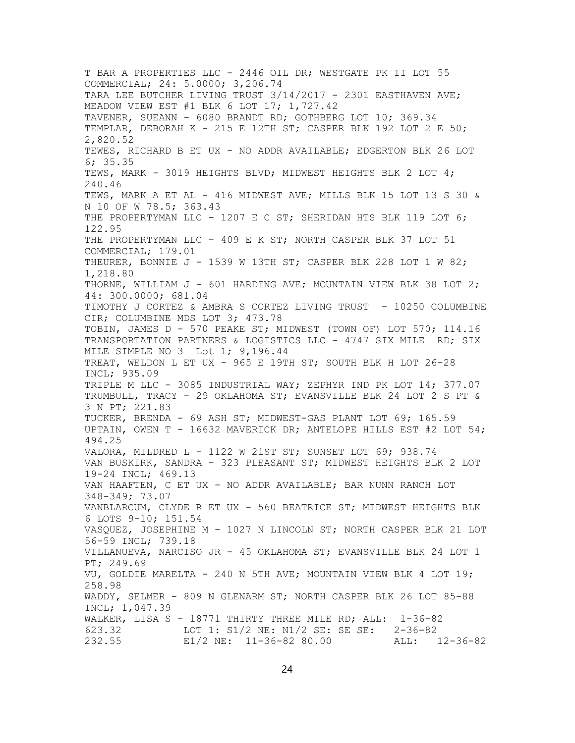T BAR A PROPERTIES LLC - 2446 OIL DR; WESTGATE PK II LOT 55 COMMERCIAL; 24: 5.0000; 3,206.74 TARA LEE BUTCHER LIVING TRUST  $3/14/2017$  - 2301 EASTHAVEN AVE; MEADOW VIEW EST #1 BLK 6 LOT 17; 1,727.42 TAVENER, SUEANN - 6080 BRANDT RD; GOTHBERG LOT 10; 369.34 TEMPLAR, DEBORAH K - 215 E 12TH ST; CASPER BLK 192 LOT 2 E 50; 2,820.52 TEWES, RICHARD B ET UX - NO ADDR AVAILABLE; EDGERTON BLK 26 LOT 6; 35.35 TEWS, MARK - 3019 HEIGHTS BLVD; MIDWEST HEIGHTS BLK 2 LOT 4; 240.46 TEWS, MARK A ET AL - 416 MIDWEST AVE; MILLS BLK 15 LOT 13 S 30 & N 10 OF W 78.5; 363.43 THE PROPERTYMAN LLC - 1207 E C ST; SHERIDAN HTS BLK 119 LOT 6; 122.95 THE PROPERTYMAN LLC - 409 E K ST; NORTH CASPER BLK 37 LOT 51 COMMERCIAL; 179.01 THEURER, BONNIE J - 1539 W 13TH ST; CASPER BLK 228 LOT 1 W 82; 1,218.80 THORNE, WILLIAM J - 601 HARDING AVE; MOUNTAIN VIEW BLK 38 LOT 2; 44: 300.0000; 681.04 TIMOTHY J CORTEZ & AMBRA S CORTEZ LIVING TRUST - 10250 COLUMBINE CIR; COLUMBINE MDS LOT 3; 473.78 TOBIN, JAMES D - 570 PEAKE ST; MIDWEST (TOWN OF) LOT 570; 114.16 TRANSPORTATION PARTNERS & LOGISTICS LLC - 4747 SIX MILE RD; SIX MILE SIMPLE NO 3 Lot 1; 9,196.44 TREAT, WELDON L ET UX - 965 E 19TH ST; SOUTH BLK H LOT 26-28 INCL; 935.09 TRIPLE M LLC - 3085 INDUSTRIAL WAY; ZEPHYR IND PK LOT 14; 377.07 TRUMBULL, TRACY - 29 OKLAHOMA ST; EVANSVILLE BLK 24 LOT 2 S PT & 3 N PT; 221.83 TUCKER, BRENDA - 69 ASH ST; MIDWEST-GAS PLANT LOT 69; 165.59 UPTAIN, OWEN T - 16632 MAVERICK DR; ANTELOPE HILLS EST #2 LOT 54; 494.25 VALORA, MILDRED L - 1122 W 21ST ST; SUNSET LOT 69; 938.74 VAN BUSKIRK, SANDRA - 323 PLEASANT ST; MIDWEST HEIGHTS BLK 2 LOT 19-24 INCL; 469.13 VAN HAAFTEN, C ET UX - NO ADDR AVAILABLE; BAR NUNN RANCH LOT 348-349; 73.07 VANBLARCUM, CLYDE R ET UX - 560 BEATRICE ST; MIDWEST HEIGHTS BLK 6 LOTS 9-10; 151.54 VASQUEZ, JOSEPHINE M - 1027 N LINCOLN ST; NORTH CASPER BLK 21 LOT 56-59 INCL; 739.18 VILLANUEVA, NARCISO JR - 45 OKLAHOMA ST; EVANSVILLE BLK 24 LOT 1 PT; 249.69 VU, GOLDIE MARELTA - 240 N 5TH AVE; MOUNTAIN VIEW BLK 4 LOT 19; 258.98 WADDY, SELMER - 809 N GLENARM ST; NORTH CASPER BLK 26 LOT 85-88 INCL; 1,047.39 WALKER, LISA S - 18771 THIRTY THREE MILE RD; ALL: 1-36-82<br>623.32 LOT 1: S1/2 NE: N1/2 SE: SE SE: 2-36-82 LOT 1: S1/2 NE: N1/2 SE: SE SE: 2-36-82 232.55 E1/2 NE: 11-36-82 80.00 ALL: 12-36-82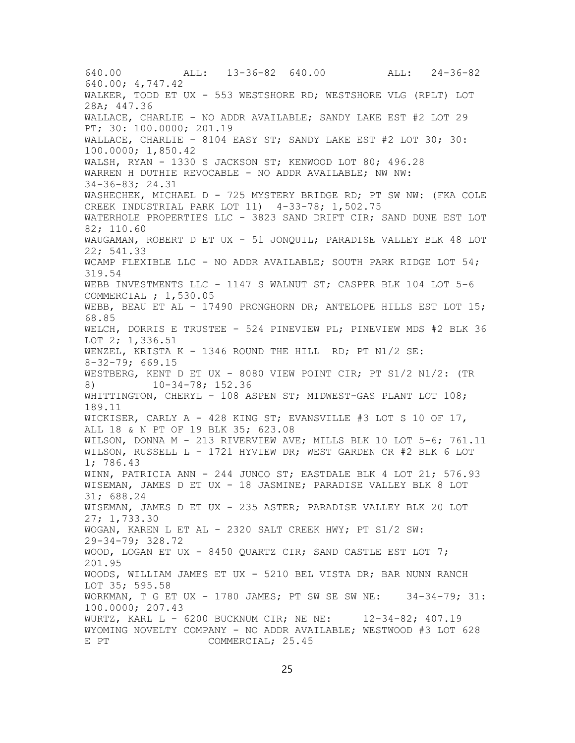640.00 ALL: 13-36-82 640.00 ALL: 24-36-82 640.00; 4,747.42 WALKER, TODD ET UX - 553 WESTSHORE RD; WESTSHORE VLG (RPLT) LOT 28A; 447.36 WALLACE, CHARLIE - NO ADDR AVAILABLE; SANDY LAKE EST #2 LOT 29 PT; 30: 100.0000; 201.19 WALLACE, CHARLIE - 8104 EASY ST; SANDY LAKE EST #2 LOT 30; 30: 100.0000; 1,850.42 WALSH, RYAN - 1330 S JACKSON ST; KENWOOD LOT 80; 496.28 WARREN H DUTHIE REVOCABLE - NO ADDR AVAILABLE; NW NW: 34-36-83; 24.31 WASHECHEK, MICHAEL D - 725 MYSTERY BRIDGE RD; PT SW NW: (FKA COLE CREEK INDUSTRIAL PARK LOT 11) 4-33-78; 1,502.75 WATERHOLE PROPERTIES LLC - 3823 SAND DRIFT CIR; SAND DUNE EST LOT 82; 110.60 WAUGAMAN, ROBERT D ET UX - 51 JONQUIL; PARADISE VALLEY BLK 48 LOT 22; 541.33 WCAMP FLEXIBLE LLC - NO ADDR AVAILABLE; SOUTH PARK RIDGE LOT 54; 319.54 WEBB INVESTMENTS LLC - 1147 S WALNUT ST; CASPER BLK 104 LOT 5-6 COMMERCIAL ; 1,530.05 WEBB, BEAU ET AL - 17490 PRONGHORN DR; ANTELOPE HILLS EST LOT 15; 68.85 WELCH, DORRIS E TRUSTEE - 524 PINEVIEW PL; PINEVIEW MDS #2 BLK 36 LOT 2; 1,336.51 WENZEL, KRISTA K - 1346 ROUND THE HILL RD; PT N1/2 SE: 8-32-79; 669.15 WESTBERG, KENT D ET UX - 8080 VIEW POINT CIR; PT S1/2 N1/2: (TR 8) 10-34-78; 152.36 WHITTINGTON, CHERYL - 108 ASPEN ST; MIDWEST-GAS PLANT LOT 108; 189.11 WICKISER, CARLY A - 428 KING ST; EVANSVILLE #3 LOT S 10 OF 17, ALL 18 & N PT OF 19 BLK 35; 623.08 WILSON, DONNA M - 213 RIVERVIEW AVE; MILLS BLK 10 LOT 5-6; 761.11 WILSON, RUSSELL L - 1721 HYVIEW DR; WEST GARDEN CR #2 BLK 6 LOT 1; 786.43 WINN, PATRICIA ANN - 244 JUNCO ST; EASTDALE BLK 4 LOT 21; 576.93 WISEMAN, JAMES D ET UX - 18 JASMINE; PARADISE VALLEY BLK 8 LOT 31; 688.24 WISEMAN, JAMES D ET UX - 235 ASTER; PARADISE VALLEY BLK 20 LOT 27; 1,733.30 WOGAN, KAREN L ET AL - 2320 SALT CREEK HWY; PT S1/2 SW: 29-34-79; 328.72 WOOD, LOGAN ET UX - 8450 QUARTZ CIR; SAND CASTLE EST LOT 7; 201.95 WOODS, WILLIAM JAMES ET UX - 5210 BEL VISTA DR; BAR NUNN RANCH LOT 35; 595.58 WORKMAN, T G ET UX - 1780 JAMES; PT SW SE SW NE: 34-34-79; 31: 100.0000; 207.43 WURTZ, KARL L - 6200 BUCKNUM CIR; NE NE: 12-34-82; 407.19 WYOMING NOVELTY COMPANY - NO ADDR AVAILABLE; WESTWOOD #3 LOT 628 COMMERCIAL; 25.45